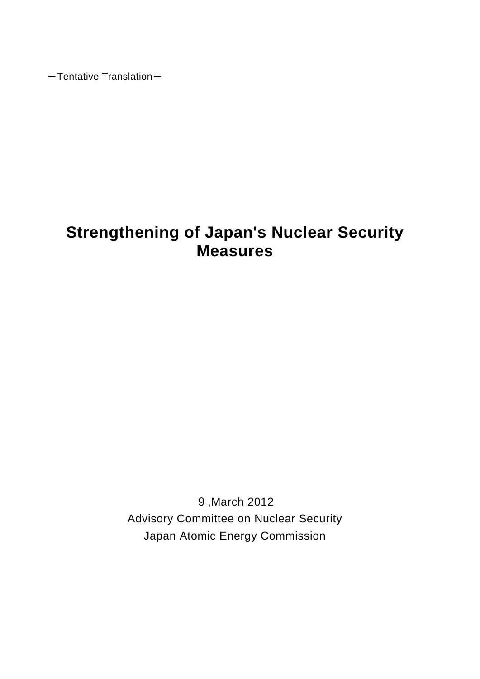$-$ Tentative Translation $-$ 

# **Strengthening of Japan's Nuclear Security Measures**

9,March 2012 Advisory Committee on Nuclear Security Japan Atomic Energy Commission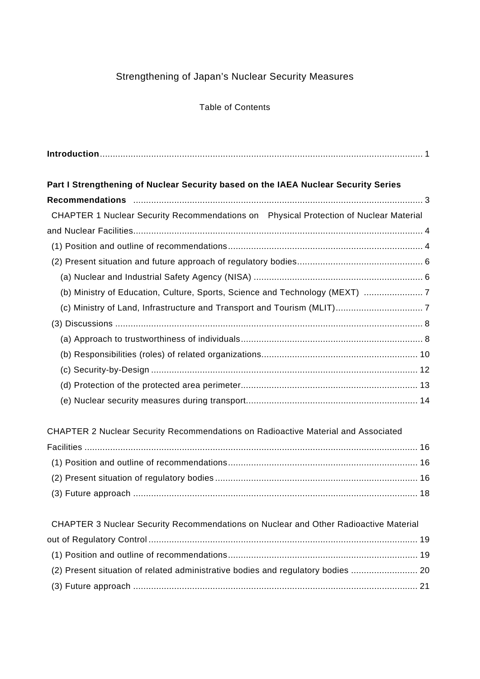# Strengthening of Japan's Nuclear Security Measures

## Table of Contents

| Part I Strengthening of Nuclear Security based on the IAEA Nuclear Security Series    |  |
|---------------------------------------------------------------------------------------|--|
|                                                                                       |  |
| CHAPTER 1 Nuclear Security Recommendations on Physical Protection of Nuclear Material |  |
|                                                                                       |  |
|                                                                                       |  |
|                                                                                       |  |
|                                                                                       |  |
| (b) Ministry of Education, Culture, Sports, Science and Technology (MEXT) 7           |  |
|                                                                                       |  |
|                                                                                       |  |
|                                                                                       |  |
|                                                                                       |  |
|                                                                                       |  |
|                                                                                       |  |
|                                                                                       |  |
| CHAPTER 2 Nuclear Security Recommendations on Radioactive Material and Associated     |  |
|                                                                                       |  |
|                                                                                       |  |
|                                                                                       |  |
|                                                                                       |  |
| CHAPTER 3 Nuclear Security Recommendations on Nuclear and Other Radioactive Material  |  |
|                                                                                       |  |
|                                                                                       |  |
| (2) Present situation of related administrative bodies and regulatory bodies  20      |  |
|                                                                                       |  |
|                                                                                       |  |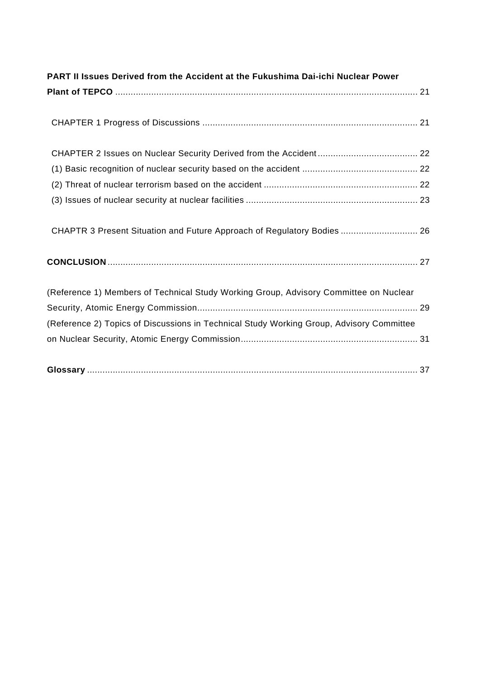| PART II Issues Derived from the Accident at the Fukushima Dai-ichi Nuclear Power         |
|------------------------------------------------------------------------------------------|
|                                                                                          |
|                                                                                          |
|                                                                                          |
|                                                                                          |
|                                                                                          |
|                                                                                          |
| CHAPTR 3 Present Situation and Future Approach of Regulatory Bodies  26                  |
|                                                                                          |
| (Reference 1) Members of Technical Study Working Group, Advisory Committee on Nuclear    |
|                                                                                          |
| (Reference 2) Topics of Discussions in Technical Study Working Group, Advisory Committee |
|                                                                                          |
|                                                                                          |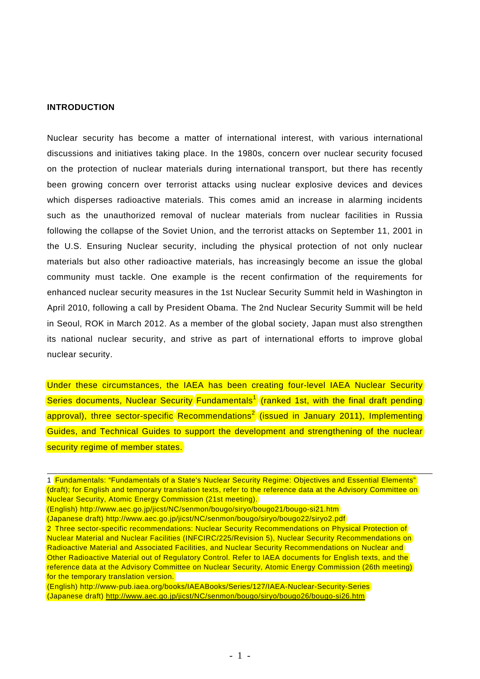### **INTRODUCTION**

Nuclear security has become a matter of international interest, with various international discussions and initiatives taking place. In the 1980s, concern over nuclear security focused on the protection of nuclear materials during international transport, but there has recently been growing concern over terrorist attacks using nuclear explosive devices and devices which disperses radioactive materials. This comes amid an increase in alarming incidents such as the unauthorized removal of nuclear materials from nuclear facilities in Russia following the collapse of the Soviet Union, and the terrorist attacks on September 11, 2001 in the U.S. Ensuring Nuclear security, including the physical protection of not only nuclear materials but also other radioactive materials, has increasingly become an issue the global community must tackle. One example is the recent confirmation of the requirements for enhanced nuclear security measures in the 1st Nuclear Security Summit held in Washington in April 2010, following a call by President Obama. The 2nd Nuclear Security Summit will be held in Seoul, ROK in March 2012. As a member of the global society, Japan must also strengthen its national nuclear security, and strive as part of international efforts to improve global nuclear security.

Under these circumstances, the IAEA has been creating four-level IAEA Nuclear Security Series documents, Nuclear Security Fundamentals<sup>1</sup> (ranked 1st, with the final draft pending approval), three sector-specific Recommendations<sup>2</sup> (issued in January 2011), Implementing Guides, and Technical Guides to support the development and strengthening of the nuclear security regime of member states.

<sup>1</sup> Fundamentals: "Fundamentals of a State's Nuclear Security Regime: Objectives and Essential Elements" (draft); for English and temporary translation texts, refer to the reference data at the Advisory Committee on Nuclear Security, Atomic Energy Commission (21st meeting).

<sup>(</sup>English) http://www.aec.go.jp/jicst/NC/senmon/bougo/siryo/bougo21/bougo-si21.htm

<sup>(</sup>Japanese draft) http://www.aec.go.jp/jicst/NC/senmon/bougo/siryo/bougo22/siryo2.pdf

<sup>2</sup> Three sector-specific recommendations: Nuclear Security Recommendations on Physical Protection of Nuclear Material and Nuclear Facilities (INFCIRC/225/Revision 5), Nuclear Security Recommendations on Radioactive Material and Associated Facilities, and Nuclear Security Recommendations on Nuclear and Other Radioactive Material out of Regulatory Control. Refer to IAEA documents for English texts, and the reference data at the Advisory Committee on Nuclear Security, Atomic Energy Commission (26th meeting) for the temporary translation version.

<sup>(</sup>English) http://www-pub.iaea.org/books/IAEABooks/Series/127/IAEA-Nuclear-Security-Series (Japanese draft) http://www.aec.go.jp/jicst/NC/senmon/bougo/siryo/bougo26/bougo-si26.htm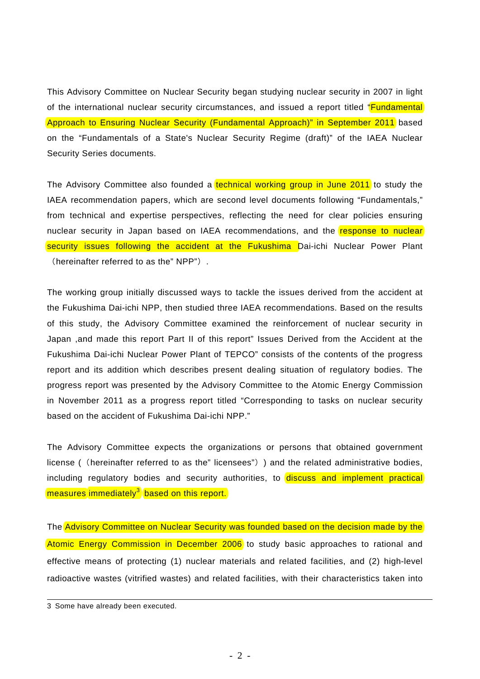This Advisory Committee on Nuclear Security began studying nuclear security in 2007 in light of the international nuclear security circumstances, and issued a report titled "**Fundamental** Approach to Ensuring Nuclear Security (Fundamental Approach)" in September 2011 based on the "Fundamentals of a State's Nuclear Security Regime (draft)" of the IAEA Nuclear Security Series documents.

The Advisory Committee also founded a technical working group in June 2011 to study the IAEA recommendation papers, which are second level documents following "Fundamentals," from technical and expertise perspectives, reflecting the need for clear policies ensuring nuclear security in Japan based on IAEA recommendations, and the **response to nuclear** security issues following the accident at the Fukushima Dai-ichi Nuclear Power Plant (hereinafter referred to as the" NPP").

The working group initially discussed ways to tackle the issues derived from the accident at the Fukushima Dai-ichi NPP, then studied three IAEA recommendations. Based on the results of this study, the Advisory Committee examined the reinforcement of nuclear security in Japan ,and made this report Part II of this report" Issues Derived from the Accident at the Fukushima Dai-ichi Nuclear Power Plant of TEPCO" consists of the contents of the progress report and its addition which describes present dealing situation of regulatory bodies. The progress report was presented by the Advisory Committee to the Atomic Energy Commission in November 2011 as a progress report titled "Corresponding to tasks on nuclear security based on the accident of Fukushima Dai-ichi NPP."

The Advisory Committee expects the organizations or persons that obtained government license ((hereinafter referred to as the" licensees")) and the related administrative bodies, including regulatory bodies and security authorities, to discuss and implement practical measures immediately<sup>3</sup> based on this report.

The Advisory Committee on Nuclear Security was founded based on the decision made by the Atomic Energy Commission in December 2006 to study basic approaches to rational and effective means of protecting (1) nuclear materials and related facilities, and (2) high-level radioactive wastes (vitrified wastes) and related facilities, with their characteristics taken into

<sup>3</sup> Some have already been executed.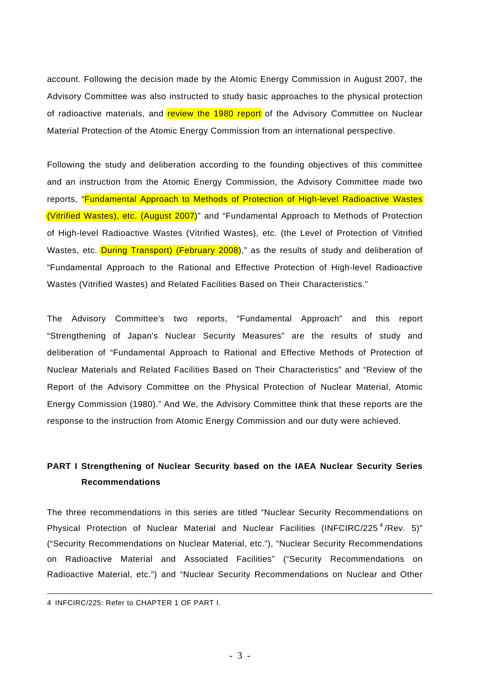account. Following the decision made by the Atomic Energy Commission in August 2007, the Advisory Committee was also instructed to study basic approaches to the physical protection of radioactive materials, and review the 1980 report of the Advisory Committee on Nuclear Material Protection of the Atomic Energy Commission from an international perspective.

Following the study and deliberation according to the founding objectives of this committee and an instruction from the Atomic Energy Commission, the Advisory Committee made two reports, "Fundamental Approach to Methods of Protection of High-level Radioactive Wastes (Vitrified Wastes), etc. (August 2007)" and "Fundamental Approach to Methods of Protection of High-level Radioactive Wastes (Vitrified Wastes), etc. (the Level of Protection of Vitrified Wastes, etc. During Transport) (February 2008)," as the results of study and deliberation of "Fundamental Approach to the Rational and Effective Protection of High-level Radioactive Wastes (Vitrified Wastes) and Related Facilities Based on Their Characteristics."

The Advisory Committee's two reports, "Fundamental Approach" and this report "Strengthening of Japan's Nuclear Security Measures" are the results of study and deliberation of "Fundamental Approach to Rational and Effective Methods of Protection of Nuclear Materials and Related Facilities Based on Their Characteristics" and "Review of the Report of the Advisory Committee on the Physical Protection of Nuclear Material, Atomic Energy Commission (1980)." And We, the Advisory Committee think that these reports are the response to the instruction from Atomic Energy Commission and our duty were achieved.

## **PART I Strengthening of Nuclear Security based on the IAEA Nuclear Security Series Recommendations**

The three recommendations in this series are titled "Nuclear Security Recommendations on Physical Protection of Nuclear Material and Nuclear Facilities (INFCIRC/225<sup>4</sup>/Rev. 5)" ("Security Recommendations on Nuclear Material, etc."), "Nuclear Security Recommendations on Radioactive Material and Associated Facilities" ("Security Recommendations on Radioactive Material, etc.") and "Nuclear Security Recommendations on Nuclear and Other

<sup>4</sup> INFCIRC/225: Refer to CHAPTER 1 OF PART I.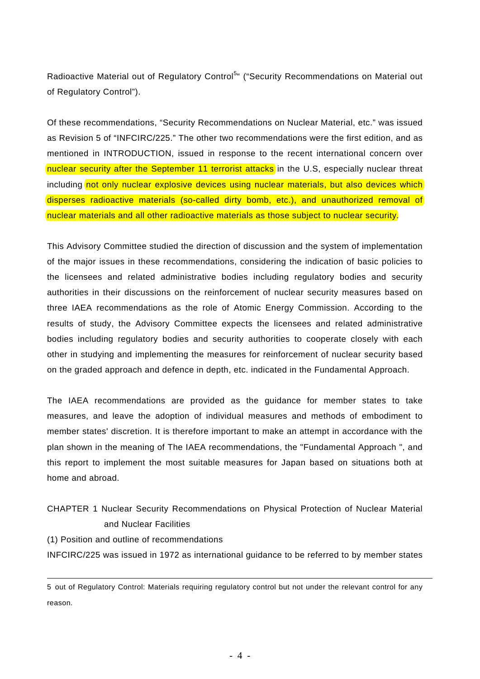Radioactive Material out of Regulatory Control<sup>5</sup>" ("Security Recommendations on Material out of Regulatory Control").

Of these recommendations, "Security Recommendations on Nuclear Material, etc." was issued as Revision 5 of "INFCIRC/225." The other two recommendations were the first edition, and as mentioned in INTRODUCTION, issued in response to the recent international concern over nuclear security after the September 11 terrorist attacks in the U.S, especially nuclear threat including not only nuclear explosive devices using nuclear materials, but also devices which disperses radioactive materials (so-called dirty bomb, etc.), and unauthorized removal of nuclear materials and all other radioactive materials as those subject to nuclear security.

This Advisory Committee studied the direction of discussion and the system of implementation of the major issues in these recommendations, considering the indication of basic policies to the licensees and related administrative bodies including regulatory bodies and security authorities in their discussions on the reinforcement of nuclear security measures based on three IAEA recommendations as the role of Atomic Energy Commission. According to the results of study, the Advisory Committee expects the licensees and related administrative bodies including regulatory bodies and security authorities to cooperate closely with each other in studying and implementing the measures for reinforcement of nuclear security based on the graded approach and defence in depth, etc. indicated in the Fundamental Approach.

The IAEA recommendations are provided as the guidance for member states to take measures, and leave the adoption of individual measures and methods of embodiment to member states' discretion. It is therefore important to make an attempt in accordance with the plan shown in the meaning of The IAEA recommendations, the "Fundamental Approach ", and this report to implement the most suitable measures for Japan based on situations both at home and abroad.

CHAPTER 1 Nuclear Security Recommendations on Physical Protection of Nuclear Material and Nuclear Facilities

(1) Position and outline of recommendations

INFCIRC/225 was issued in 1972 as international guidance to be referred to by member states

<sup>5</sup> out of Regulatory Control: Materials requiring regulatory control but not under the relevant control for any reason.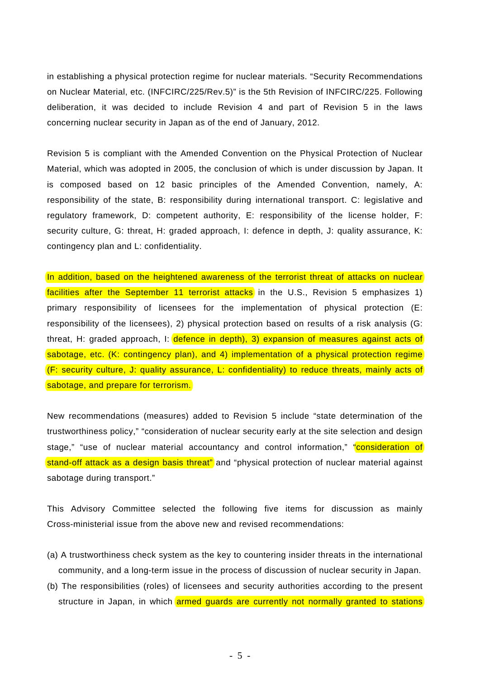in establishing a physical protection regime for nuclear materials. "Security Recommendations on Nuclear Material, etc. (INFCIRC/225/Rev.5)" is the 5th Revision of INFCIRC/225. Following deliberation, it was decided to include Revision 4 and part of Revision 5 in the laws concerning nuclear security in Japan as of the end of January, 2012.

Revision 5 is compliant with the Amended Convention on the Physical Protection of Nuclear Material, which was adopted in 2005, the conclusion of which is under discussion by Japan. It is composed based on 12 basic principles of the Amended Convention, namely, A: responsibility of the state, B: responsibility during international transport. C: legislative and regulatory framework, D: competent authority, E: responsibility of the license holder, F: security culture, G: threat, H: graded approach, I: defence in depth, J: quality assurance, K: contingency plan and L: confidentiality.

In addition, based on the heightened awareness of the terrorist threat of attacks on nuclear facilities after the September 11 terrorist attacks in the U.S., Revision 5 emphasizes 1) primary responsibility of licensees for the implementation of physical protection (E: responsibility of the licensees), 2) physical protection based on results of a risk analysis (G: threat, H: graded approach, I: defence in depth), 3) expansion of measures against acts of sabotage, etc. (K: contingency plan), and 4) implementation of a physical protection regime (F: security culture, J: quality assurance, L: confidentiality) to reduce threats, mainly acts of sabotage, and prepare for terrorism.

New recommendations (measures) added to Revision 5 include "state determination of the trustworthiness policy," "consideration of nuclear security early at the site selection and design stage," "use of nuclear material accountancy and control information," "consideration of stand-off attack as a design basis threat" and "physical protection of nuclear material against sabotage during transport."

This Advisory Committee selected the following five items for discussion as mainly Cross-ministerial issue from the above new and revised recommendations:

- (a) A trustworthiness check system as the key to countering insider threats in the international community, and a long-term issue in the process of discussion of nuclear security in Japan.
- (b) The responsibilities (roles) of licensees and security authorities according to the present structure in Japan, in which armed guards are currently not normally granted to stations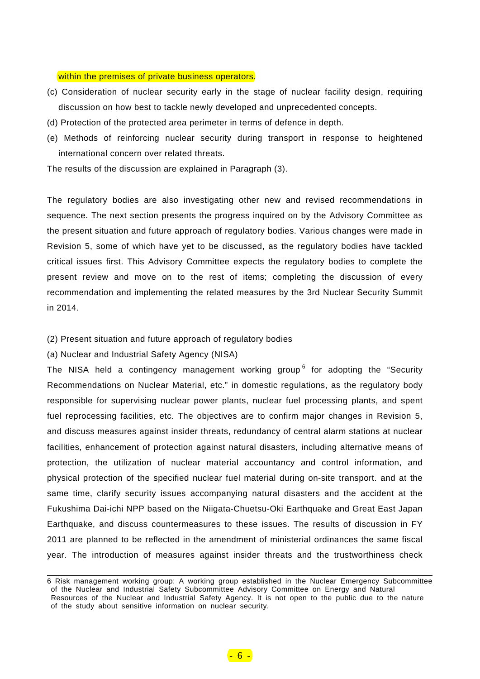#### within the premises of private business operators.

- (c) Consideration of nuclear security early in the stage of nuclear facility design, requiring discussion on how best to tackle newly developed and unprecedented concepts.
- (d) Protection of the protected area perimeter in terms of defence in depth.
- (e) Methods of reinforcing nuclear security during transport in response to heightened international concern over related threats.

The results of the discussion are explained in Paragraph (3).

The regulatory bodies are also investigating other new and revised recommendations in sequence. The next section presents the progress inquired on by the Advisory Committee as the present situation and future approach of regulatory bodies. Various changes were made in Revision 5, some of which have yet to be discussed, as the regulatory bodies have tackled critical issues first. This Advisory Committee expects the regulatory bodies to complete the present review and move on to the rest of items; completing the discussion of every recommendation and implementing the related measures by the 3rd Nuclear Security Summit in 2014.

(2) Present situation and future approach of regulatory bodies

(a) Nuclear and Industrial Safety Agency (NISA)

The NISA held a contingency management working group<sup>6</sup> for adopting the "Security Recommendations on Nuclear Material, etc." in domestic regulations, as the regulatory body responsible for supervising nuclear power plants, nuclear fuel processing plants, and spent fuel reprocessing facilities, etc. The objectives are to confirm major changes in Revision 5, and discuss measures against insider threats, redundancy of central alarm stations at nuclear facilities, enhancement of protection against natural disasters, including alternative means of protection, the utilization of nuclear material accountancy and control information, and physical protection of the specified nuclear fuel material during on-site transport. and at the same time, clarify security issues accompanying natural disasters and the accident at the Fukushima Dai-ichi NPP based on the Niigata-Chuetsu-Oki Earthquake and Great East Japan Earthquake, and discuss countermeasures to these issues. The results of discussion in FY 2011 are planned to be reflected in the amendment of ministerial ordinances the same fiscal year. The introduction of measures against insider threats and the trustworthiness check

 6 Risk management working group: A working group established in the Nuclear Emergency Subcommittee of the Nuclear and Industrial Safety Subcommittee Advisory Committee on Energy and Natural Resources of the Nuclear and Industrial Safety Agency. It is not open to the public due to the nature of the study about sensitive information on nuclear security.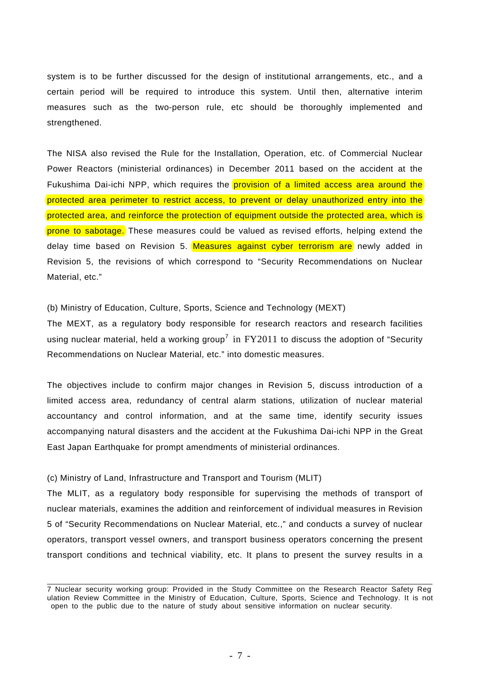system is to be further discussed for the design of institutional arrangements, etc., and a certain period will be required to introduce this system. Until then, alternative interim measures such as the two-person rule, etc should be thoroughly implemented and strengthened.

The NISA also revised the Rule for the Installation, Operation, etc. of Commercial Nuclear Power Reactors (ministerial ordinances) in December 2011 based on the accident at the Fukushima Dai-ichi NPP, which requires the provision of a limited access area around the protected area perimeter to restrict access, to prevent or delay unauthorized entry into the protected area, and reinforce the protection of equipment outside the protected area, which is prone to sabotage. These measures could be valued as revised efforts, helping extend the delay time based on Revision 5. Measures against cyber terrorism are newly added in Revision 5, the revisions of which correspond to "Security Recommendations on Nuclear Material, etc."

## (b) Ministry of Education, Culture, Sports, Science and Technology (MEXT)

The MEXT, as a regulatory body responsible for research reactors and research facilities using nuclear material, held a working group<sup>7</sup> in  $FY2011$  to discuss the adoption of "Security Recommendations on Nuclear Material, etc." into domestic measures.

The objectives include to confirm major changes in Revision 5, discuss introduction of a limited access area, redundancy of central alarm stations, utilization of nuclear material accountancy and control information, and at the same time, identify security issues accompanying natural disasters and the accident at the Fukushima Dai-ichi NPP in the Great East Japan Earthquake for prompt amendments of ministerial ordinances.

## (c) Ministry of Land, Infrastructure and Transport and Tourism (MLIT)

The MLIT, as a regulatory body responsible for supervising the methods of transport of nuclear materials, examines the addition and reinforcement of individual measures in Revision 5 of "Security Recommendations on Nuclear Material, etc.," and conducts a survey of nuclear operators, transport vessel owners, and transport business operators concerning the present transport conditions and technical viability, etc. It plans to present the survey results in a

 7 Nuclear security working group: Provided in the Study Committee on the Research Reactor Safety Reg ulation Review Committee in the Ministry of Education, Culture, Sports, Science and Technology. It is not open to the public due to the nature of study about sensitive information on nuclear security.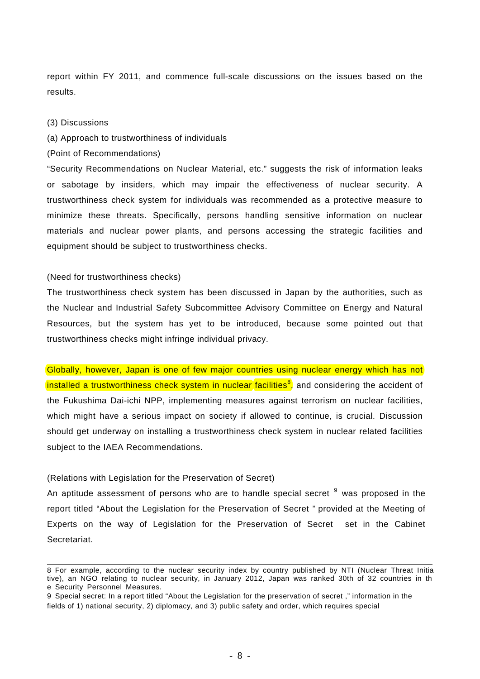report within FY 2011, and commence full-scale discussions on the issues based on the results.

### (3) Discussions

### (a) Approach to trustworthiness of individuals

(Point of Recommendations)

"Security Recommendations on Nuclear Material, etc." suggests the risk of information leaks or sabotage by insiders, which may impair the effectiveness of nuclear security. A trustworthiness check system for individuals was recommended as a protective measure to minimize these threats. Specifically, persons handling sensitive information on nuclear materials and nuclear power plants, and persons accessing the strategic facilities and equipment should be subject to trustworthiness checks.

### (Need for trustworthiness checks)

The trustworthiness check system has been discussed in Japan by the authorities, such as the Nuclear and Industrial Safety Subcommittee Advisory Committee on Energy and Natural Resources, but the system has yet to be introduced, because some pointed out that trustworthiness checks might infringe individual privacy.

Globally, however, Japan is one of few major countries using nuclear energy which has not installed a trustworthiness check system in nuclear facilities<sup>8</sup>, and considering the accident of the Fukushima Dai-ichi NPP, implementing measures against terrorism on nuclear facilities, which might have a serious impact on society if allowed to continue, is crucial. Discussion should get underway on installing a trustworthiness check system in nuclear related facilities subject to the IAEA Recommendations.

### (Relations with Legislation for the Preservation of Secret)

An aptitude assessment of persons who are to handle special secret  $9$  was proposed in the report titled "About the Legislation for the Preservation of Secret " provided at the Meeting of Experts on the way of Legislation for the Preservation of Secret set in the Cabinet Secretariat.

 8 For example, according to the nuclear security index by country published by NTI (Nuclear Threat Initia tive), an NGO relating to nuclear security, in January 2012, Japan was ranked 30th of 32 countries in th e Security Personnel Measures.

<sup>9</sup> Special secret: In a report titled "About the Legislation for the preservation of secret ," information in the fields of 1) national security, 2) diplomacy, and 3) public safety and order, which requires special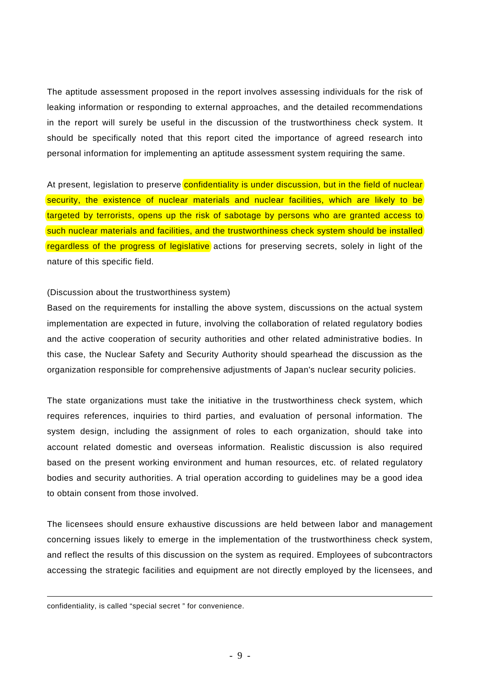The aptitude assessment proposed in the report involves assessing individuals for the risk of leaking information or responding to external approaches, and the detailed recommendations in the report will surely be useful in the discussion of the trustworthiness check system. It should be specifically noted that this report cited the importance of agreed research into personal information for implementing an aptitude assessment system requiring the same.

At present, legislation to preserve confidentiality is under discussion, but in the field of nuclear security, the existence of nuclear materials and nuclear facilities, which are likely to be targeted by terrorists, opens up the risk of sabotage by persons who are granted access to such nuclear materials and facilities, and the trustworthiness check system should be installed regardless of the progress of legislative actions for preserving secrets, solely in light of the nature of this specific field.

### (Discussion about the trustworthiness system)

Based on the requirements for installing the above system, discussions on the actual system implementation are expected in future, involving the collaboration of related regulatory bodies and the active cooperation of security authorities and other related administrative bodies. In this case, the Nuclear Safety and Security Authority should spearhead the discussion as the organization responsible for comprehensive adjustments of Japan's nuclear security policies.

The state organizations must take the initiative in the trustworthiness check system, which requires references, inquiries to third parties, and evaluation of personal information. The system design, including the assignment of roles to each organization, should take into account related domestic and overseas information. Realistic discussion is also required based on the present working environment and human resources, etc. of related regulatory bodies and security authorities. A trial operation according to guidelines may be a good idea to obtain consent from those involved.

The licensees should ensure exhaustive discussions are held between labor and management concerning issues likely to emerge in the implementation of the trustworthiness check system, and reflect the results of this discussion on the system as required. Employees of subcontractors accessing the strategic facilities and equipment are not directly employed by the licensees, and

1

confidentiality, is called "special secret " for convenience.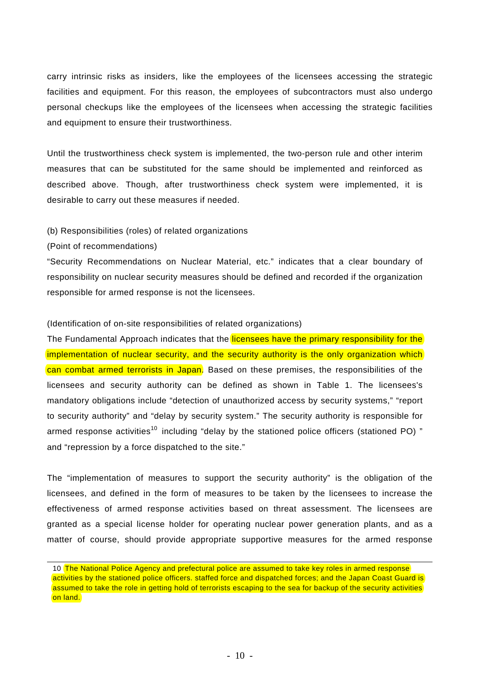carry intrinsic risks as insiders, like the employees of the licensees accessing the strategic facilities and equipment. For this reason, the employees of subcontractors must also undergo personal checkups like the employees of the licensees when accessing the strategic facilities and equipment to ensure their trustworthiness.

Until the trustworthiness check system is implemented, the two-person rule and other interim measures that can be substituted for the same should be implemented and reinforced as described above. Though, after trustworthiness check system were implemented, it is desirable to carry out these measures if needed.

### (b) Responsibilities (roles) of related organizations

### (Point of recommendations)

"Security Recommendations on Nuclear Material, etc." indicates that a clear boundary of responsibility on nuclear security measures should be defined and recorded if the organization responsible for armed response is not the licensees.

### (Identification of on-site responsibilities of related organizations)

The Fundamental Approach indicates that the licensees have the primary responsibility for the implementation of nuclear security, and the security authority is the only organization which can combat armed terrorists in Japan. Based on these premises, the responsibilities of the licensees and security authority can be defined as shown in Table 1. The licensees's mandatory obligations include "detection of unauthorized access by security systems," "report to security authority" and "delay by security system." The security authority is responsible for armed response activities<sup>10</sup> including "delay by the stationed police officers (stationed PO)" and "repression by a force dispatched to the site."

The "implementation of measures to support the security authority" is the obligation of the licensees, and defined in the form of measures to be taken by the licensees to increase the effectiveness of armed response activities based on threat assessment. The licensees are granted as a special license holder for operating nuclear power generation plants, and as a matter of course, should provide appropriate supportive measures for the armed response

<sup>10</sup> The National Police Agency and prefectural police are assumed to take key roles in armed response activities by the stationed police officers. staffed force and dispatched forces; and the Japan Coast Guard is assumed to take the role in getting hold of terrorists escaping to the sea for backup of the security activities on land.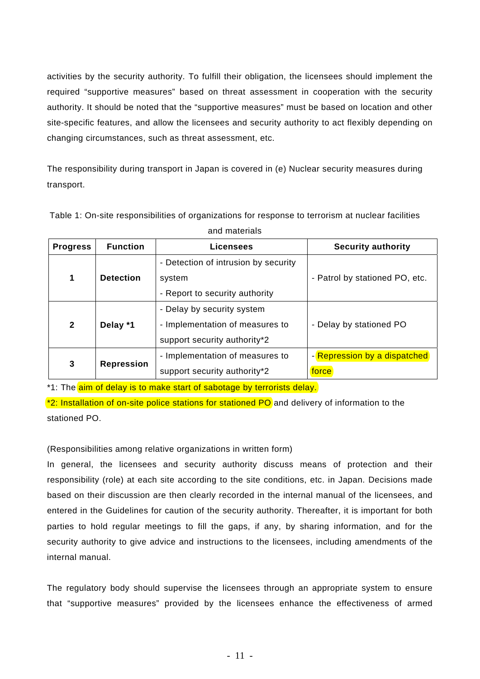activities by the security authority. To fulfill their obligation, the licensees should implement the required "supportive measures" based on threat assessment in cooperation with the security authority. It should be noted that the "supportive measures" must be based on location and other site-specific features, and allow the licensees and security authority to act flexibly depending on changing circumstances, such as threat assessment, etc.

The responsibility during transport in Japan is covered in (e) Nuclear security measures during transport.

| <b>Progress</b> | <b>Function</b>   | <b>Licensees</b>                     | <b>Security authority</b>      |
|-----------------|-------------------|--------------------------------------|--------------------------------|
|                 |                   | - Detection of intrusion by security |                                |
| 1               | <b>Detection</b>  | system                               | - Patrol by stationed PO, etc. |
|                 |                   | - Report to security authority       |                                |
| $\mathbf{2}$    |                   | - Delay by security system           |                                |
|                 | Delay *1          | - Implementation of measures to      | - Delay by stationed PO        |
|                 |                   | support security authority*2         |                                |
| $\mathbf{3}$    | <b>Repression</b> | - Implementation of measures to      | - Repression by a dispatched   |
|                 |                   | support security authority*2         | force                          |

Table 1: On-site responsibilities of organizations for response to terrorism at nuclear facilities and materials

\*1: The aim of delay is to make start of sabotage by terrorists delay.

 $*$ 2: Installation of on-site police stations for stationed PO and delivery of information to the stationed PO.

(Responsibilities among relative organizations in written form)

In general, the licensees and security authority discuss means of protection and their responsibility (role) at each site according to the site conditions, etc. in Japan. Decisions made based on their discussion are then clearly recorded in the internal manual of the licensees, and entered in the Guidelines for caution of the security authority. Thereafter, it is important for both parties to hold regular meetings to fill the gaps, if any, by sharing information, and for the security authority to give advice and instructions to the licensees, including amendments of the internal manual.

The regulatory body should supervise the licensees through an appropriate system to ensure that "supportive measures" provided by the licensees enhance the effectiveness of armed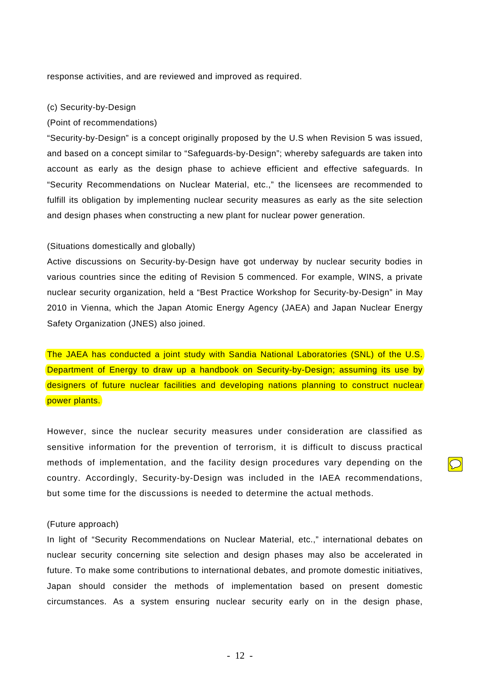response activities, and are reviewed and improved as required.

### (c) Security-by-Design

#### (Point of recommendations)

"Security-by-Design" is a concept originally proposed by the U.S when Revision 5 was issued, and based on a concept similar to "Safeguards-by-Design"; whereby safeguards are taken into account as early as the design phase to achieve efficient and effective safeguards. In "Security Recommendations on Nuclear Material, etc.," the licensees are recommended to fulfill its obligation by implementing nuclear security measures as early as the site selection and design phases when constructing a new plant for nuclear power generation.

### (Situations domestically and globally)

Active discussions on Security-by-Design have got underway by nuclear security bodies in various countries since the editing of Revision 5 commenced. For example, WINS, a private nuclear security organization, held a "Best Practice Workshop for Security-by-Design" in May 2010 in Vienna, which the Japan Atomic Energy Agency (JAEA) and Japan Nuclear Energy Safety Organization (JNES) also joined.

The JAEA has conducted a joint study with Sandia National Laboratories (SNL) of the U.S. Department of Energy to draw up a handbook on Security-by-Design; assuming its use by designers of future nuclear facilities and developing nations planning to construct nuclear power plants.

However, since the nuclear security measures under consideration are classified as sensitive information for the prevention of terrorism, it is difficult to discuss practical methods of implementation, and the facility design procedures vary depending on the country. Accordingly, Security-by-Design was included in the IAEA recommendations, but some time for the discussions is needed to determine the actual methods.

### (Future approach)

In light of "Security Recommendations on Nuclear Material, etc.," international debates on nuclear security concerning site selection and design phases may also be accelerated in future. To make some contributions to international debates, and promote domestic initiatives, Japan should consider the methods of implementation based on present domestic circumstances. As a system ensuring nuclear security early on in the design phase,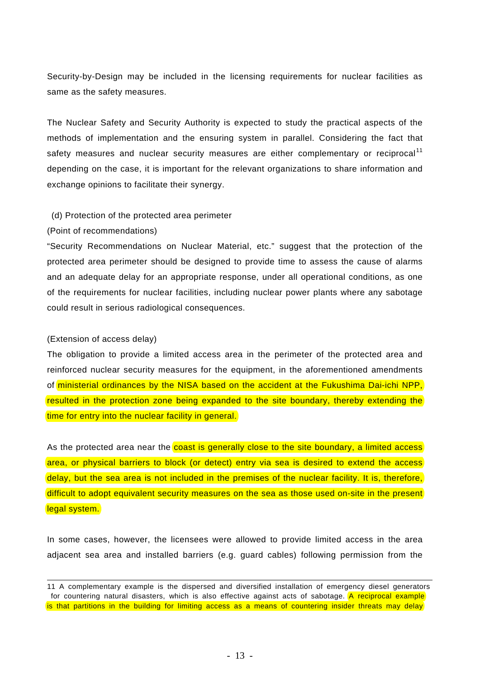Security-by-Design may be included in the licensing requirements for nuclear facilities as same as the safety measures.

The Nuclear Safety and Security Authority is expected to study the practical aspects of the methods of implementation and the ensuring system in parallel. Considering the fact that safety measures and nuclear security measures are either complementary or reciprocal<sup>11</sup> depending on the case, it is important for the relevant organizations to share information and exchange opinions to facilitate their synergy.

### (d) Protection of the protected area perimeter

### (Point of recommendations)

"Security Recommendations on Nuclear Material, etc." suggest that the protection of the protected area perimeter should be designed to provide time to assess the cause of alarms and an adequate delay for an appropriate response, under all operational conditions, as one of the requirements for nuclear facilities, including nuclear power plants where any sabotage could result in serious radiological consequences.

### (Extension of access delay)

The obligation to provide a limited access area in the perimeter of the protected area and reinforced nuclear security measures for the equipment, in the aforementioned amendments of ministerial ordinances by the NISA based on the accident at the Fukushima Dai-ichi NPP, resulted in the protection zone being expanded to the site boundary, thereby extending the time for entry into the nuclear facility in general.

As the protected area near the coast is generally close to the site boundary, a limited access area, or physical barriers to block (or detect) entry via sea is desired to extend the access delay, but the sea area is not included in the premises of the nuclear facility. It is, therefore, difficult to adopt equivalent security measures on the sea as those used on-site in the present legal system.

In some cases, however, the licensees were allowed to provide limited access in the area adjacent sea area and installed barriers (e.g. guard cables) following permission from the

<sup>11</sup> A complementary example is the dispersed and diversified installation of emergency diesel generators for countering natural disasters, which is also effective against acts of sabotage. A reciprocal example is that partitions in the building for limiting access as a means of countering insider threats may delay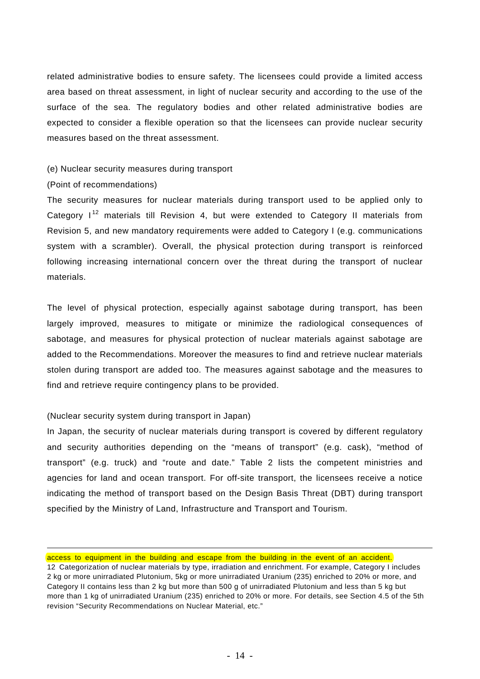related administrative bodies to ensure safety. The licensees could provide a limited access area based on threat assessment, in light of nuclear security and according to the use of the surface of the sea. The regulatory bodies and other related administrative bodies are expected to consider a flexible operation so that the licensees can provide nuclear security measures based on the threat assessment.

### (e) Nuclear security measures during transport

## (Point of recommendations)

1

The security measures for nuclear materials during transport used to be applied only to Category  $I<sup>12</sup>$  materials till Revision 4, but were extended to Category II materials from Revision 5, and new mandatory requirements were added to Category I (e.g. communications system with a scrambler). Overall, the physical protection during transport is reinforced following increasing international concern over the threat during the transport of nuclear materials.

The level of physical protection, especially against sabotage during transport, has been largely improved, measures to mitigate or minimize the radiological consequences of sabotage, and measures for physical protection of nuclear materials against sabotage are added to the Recommendations. Moreover the measures to find and retrieve nuclear materials stolen during transport are added too. The measures against sabotage and the measures to find and retrieve require contingency plans to be provided.

## (Nuclear security system during transport in Japan)

In Japan, the security of nuclear materials during transport is covered by different regulatory and security authorities depending on the "means of transport" (e.g. cask), "method of transport" (e.g. truck) and "route and date." Table 2 lists the competent ministries and agencies for land and ocean transport. For off-site transport, the licensees receive a notice indicating the method of transport based on the Design Basis Threat (DBT) during transport specified by the Ministry of Land, Infrastructure and Transport and Tourism.

access to equipment in the building and escape from the building in the event of an accident.

<sup>12</sup> Categorization of nuclear materials by type, irradiation and enrichment. For example, Category I includes 2 kg or more unirradiated Plutonium, 5kg or more unirradiated Uranium (235) enriched to 20% or more, and Category II contains less than 2 kg but more than 500 g of unirradiated Plutonium and less than 5 kg but more than 1 kg of unirradiated Uranium (235) enriched to 20% or more. For details, see Section 4.5 of the 5th revision "Security Recommendations on Nuclear Material, etc."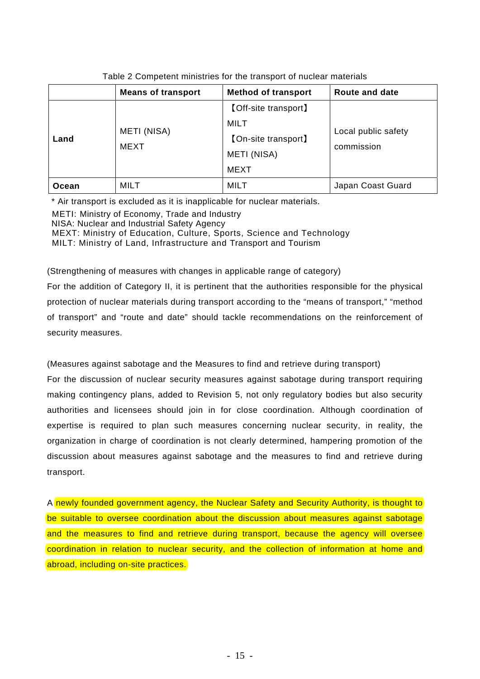|              | <b>Means of transport</b> | <b>Method of transport</b>                                                                      | Route and date                    |  |
|--------------|---------------------------|-------------------------------------------------------------------------------------------------|-----------------------------------|--|
| Land         | METI (NISA)<br>MEXT       | <b>[Off-site transport]</b><br>MILT<br><b>[On-site transport]</b><br>METI (NISA)<br><b>MEXT</b> | Local public safety<br>commission |  |
| <b>Ocean</b> | MILT                      | <b>MILT</b>                                                                                     | Japan Coast Guard                 |  |

Table 2 Competent ministries for the transport of nuclear materials

\* Air transport is excluded as it is inapplicable for nuclear materials.

METI: Ministry of Economy, Trade and Industry

NISA: Nuclear and Industrial Safety Agency

MEXT: Ministry of Education, Culture, Sports, Science and Technology

MILT: Ministry of Land, Infrastructure and Transport and Tourism

## (Strengthening of measures with changes in applicable range of category)

For the addition of Category II, it is pertinent that the authorities responsible for the physical protection of nuclear materials during transport according to the "means of transport," "method of transport" and "route and date" should tackle recommendations on the reinforcement of security measures.

(Measures against sabotage and the Measures to find and retrieve during transport)

For the discussion of nuclear security measures against sabotage during transport requiring making contingency plans, added to Revision 5, not only regulatory bodies but also security authorities and licensees should join in for close coordination. Although coordination of expertise is required to plan such measures concerning nuclear security, in reality, the organization in charge of coordination is not clearly determined, hampering promotion of the discussion about measures against sabotage and the measures to find and retrieve during transport.

A newly founded government agency, the Nuclear Safety and Security Authority, is thought to be suitable to oversee coordination about the discussion about measures against sabotage and the measures to find and retrieve during transport, because the agency will oversee coordination in relation to nuclear security, and the collection of information at home and abroad, including on-site practices.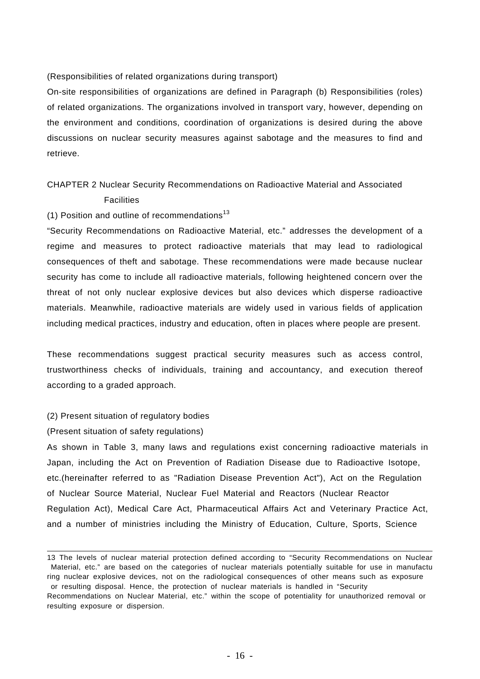## (Responsibilities of related organizations during transport)

On-site responsibilities of organizations are defined in Paragraph (b) Responsibilities (roles) of related organizations. The organizations involved in transport vary, however, depending on the environment and conditions, coordination of organizations is desired during the above discussions on nuclear security measures against sabotage and the measures to find and retrieve.

## CHAPTER 2 Nuclear Security Recommendations on Radioactive Material and Associated

## **Facilities**

## (1) Position and outline of recommendations<sup>13</sup>

"Security Recommendations on Radioactive Material, etc." addresses the development of a regime and measures to protect radioactive materials that may lead to radiological consequences of theft and sabotage. These recommendations were made because nuclear security has come to include all radioactive materials, following heightened concern over the threat of not only nuclear explosive devices but also devices which disperse radioactive materials. Meanwhile, radioactive materials are widely used in various fields of application including medical practices, industry and education, often in places where people are present.

These recommendations suggest practical security measures such as access control, trustworthiness checks of individuals, training and accountancy, and execution thereof according to a graded approach.

### (2) Present situation of regulatory bodies

### (Present situation of safety regulations)

As shown in Table 3, many laws and regulations exist concerning radioactive materials in Japan, including the Act on Prevention of Radiation Disease due to Radioactive Isotope, etc.(hereinafter referred to as "Radiation Disease Prevention Act"), Act on the Regulation of Nuclear Source Material, Nuclear Fuel Material and Reactors (Nuclear Reactor Regulation Act), Medical Care Act, Pharmaceutical Affairs Act and Veterinary Practice Act, and a number of ministries including the Ministry of Education, Culture, Sports, Science

<sup>13</sup> The levels of nuclear material protection defined according to "Security Recommendations on Nuclear Material, etc." are based on the categories of nuclear materials potentially suitable for use in manufactu ring nuclear explosive devices, not on the radiological consequences of other means such as exposure or resulting disposal. Hence, the protection of nuclear materials is handled in "Security Recommendations on Nuclear Material, etc." within the scope of potentiality for unauthorized removal or resulting exposure or dispersion.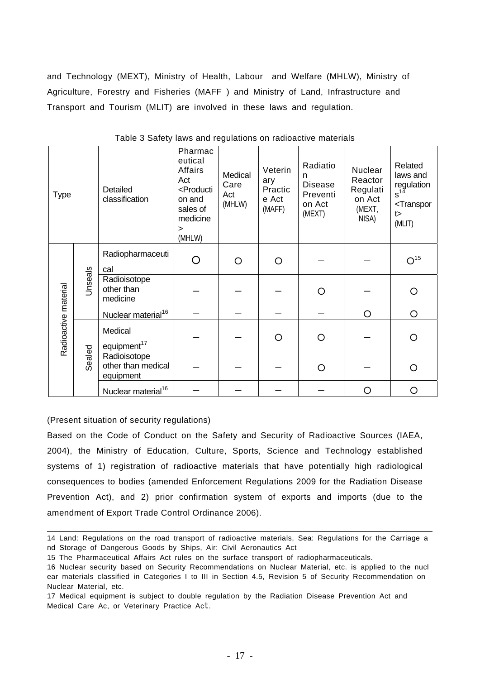and Technology (MEXT), Ministry of Health, Labour and Welfare (MHLW), Ministry of Agriculture, Forestry and Fisheries (MAFF ) and Ministry of Land, Infrastructure and Transport and Tourism (MLIT) are involved in these laws and regulation.

| <b>Type</b>          |         | Detailed<br>classification                      | Pharmac<br>eutical<br>Affairs<br>Act<br><producti<br>on and<br/>sales of<br/>medicine<br/><math>\geq</math><br/>(MHLW)</producti<br> | Medical<br>Care<br>Act<br>(MHLW) | Veterin<br>ary<br>Practic<br>e Act<br>(MAFF) | Radiatio<br>n<br><b>Disease</b><br>Preventi<br>on Act<br>(MEXT) | Nuclear<br>Reactor<br>Regulati<br>on Act<br>(MEXT,<br>NISA) | Related<br>laws and<br>regulation<br>$s^{14}$<br><transpor<br>t<br/>(MLIT)</transpor<br> |
|----------------------|---------|-------------------------------------------------|--------------------------------------------------------------------------------------------------------------------------------------|----------------------------------|----------------------------------------------|-----------------------------------------------------------------|-------------------------------------------------------------|------------------------------------------------------------------------------------------|
| Radioactive material |         | Radiopharmaceuti<br>cal                         | ∩                                                                                                                                    | O                                | $\circ$                                      |                                                                 |                                                             | O <sup>15</sup>                                                                          |
|                      | Jnseals | Radioisotope<br>other than<br>medicine          |                                                                                                                                      |                                  |                                              | O                                                               |                                                             | O                                                                                        |
|                      |         | Nuclear material <sup>16</sup>                  |                                                                                                                                      |                                  |                                              |                                                                 | O                                                           | $\circ$                                                                                  |
|                      |         | Medical<br>equipment <sup>17</sup>              |                                                                                                                                      |                                  | $\circ$                                      | O                                                               |                                                             | O                                                                                        |
|                      | Sealed  | Radioisotope<br>other than medical<br>equipment |                                                                                                                                      |                                  |                                              | O                                                               |                                                             | O                                                                                        |
|                      |         | Nuclear material <sup>16</sup>                  |                                                                                                                                      |                                  |                                              |                                                                 | ∩                                                           | O                                                                                        |

Table 3 Safety laws and regulations on radioactive materials

(Present situation of security regulations)

Based on the Code of Conduct on the Safety and Security of Radioactive Sources (IAEA, 2004), the Ministry of Education, Culture, Sports, Science and Technology established systems of 1) registration of radioactive materials that have potentially high radiological consequences to bodies (amended Enforcement Regulations 2009 for the Radiation Disease Prevention Act), and 2) prior confirmation system of exports and imports (due to the amendment of Export Trade Control Ordinance 2006).

- 15 The Pharmaceutical Affairs Act rules on the surface transport of radiopharmaceuticals.
- 16 Nuclear security based on Security Recommendations on Nuclear Material, etc. is applied to the nucl ear materials classified in Categories I to III in Section 4.5, Revision 5 of Security Recommendation on Nuclear Material, etc.

<sup>14</sup> Land: Regulations on the road transport of radioactive materials, Sea: Regulations for the Carriage a nd Storage of Dangerous Goods by Ships, Air: Civil Aeronautics Act

<sup>17</sup> Medical equipment is subject to double regulation by the Radiation Disease Prevention Act and Medical Care Ac, or Veterinary Practice Act.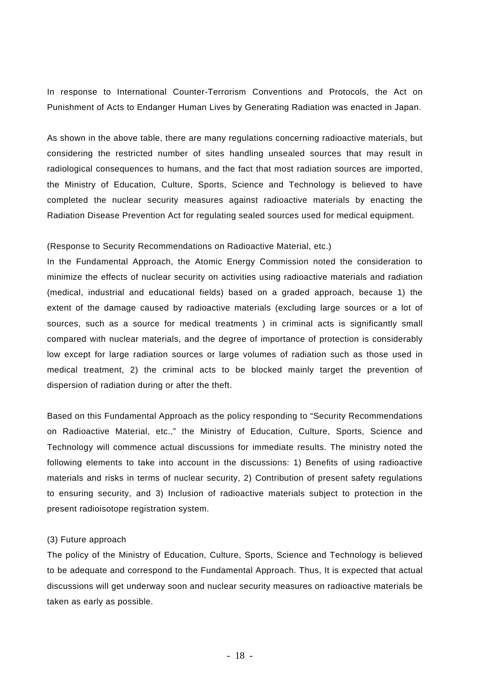In response to International Counter-Terrorism Conventions and Protocols, the Act on Punishment of Acts to Endanger Human Lives by Generating Radiation was enacted in Japan.

As shown in the above table, there are many regulations concerning radioactive materials, but considering the restricted number of sites handling unsealed sources that may result in radiological consequences to humans, and the fact that most radiation sources are imported, the Ministry of Education, Culture, Sports, Science and Technology is believed to have completed the nuclear security measures against radioactive materials by enacting the Radiation Disease Prevention Act for regulating sealed sources used for medical equipment.

### (Response to Security Recommendations on Radioactive Material, etc.)

In the Fundamental Approach, the Atomic Energy Commission noted the consideration to minimize the effects of nuclear security on activities using radioactive materials and radiation (medical, industrial and educational fields) based on a graded approach, because 1) the extent of the damage caused by radioactive materials (excluding large sources or a lot of sources, such as a source for medical treatments ) in criminal acts is significantly small compared with nuclear materials, and the degree of importance of protection is considerably low except for large radiation sources or large volumes of radiation such as those used in medical treatment, 2) the criminal acts to be blocked mainly target the prevention of dispersion of radiation during or after the theft.

Based on this Fundamental Approach as the policy responding to "Security Recommendations on Radioactive Material, etc.," the Ministry of Education, Culture, Sports, Science and Technology will commence actual discussions for immediate results. The ministry noted the following elements to take into account in the discussions: 1) Benefits of using radioactive materials and risks in terms of nuclear security, 2) Contribution of present safety regulations to ensuring security, and 3) Inclusion of radioactive materials subject to protection in the present radioisotope registration system.

### (3) Future approach

The policy of the Ministry of Education, Culture, Sports, Science and Technology is believed to be adequate and correspond to the Fundamental Approach. Thus, It is expected that actual discussions will get underway soon and nuclear security measures on radioactive materials be taken as early as possible.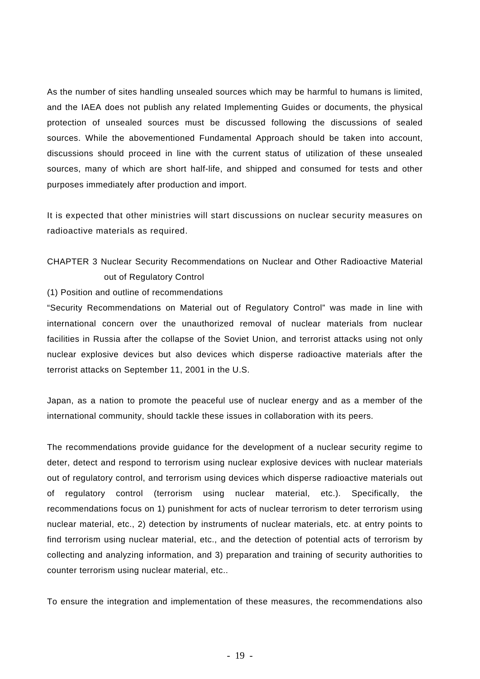As the number of sites handling unsealed sources which may be harmful to humans is limited, and the IAEA does not publish any related Implementing Guides or documents, the physical protection of unsealed sources must be discussed following the discussions of sealed sources. While the abovementioned Fundamental Approach should be taken into account, discussions should proceed in line with the current status of utilization of these unsealed sources, many of which are short half-life, and shipped and consumed for tests and other purposes immediately after production and import.

It is expected that other ministries will start discussions on nuclear security measures on radioactive materials as required.

## CHAPTER 3 Nuclear Security Recommendations on Nuclear and Other Radioactive Material out of Regulatory Control

(1) Position and outline of recommendations

"Security Recommendations on Material out of Regulatory Control" was made in line with international concern over the unauthorized removal of nuclear materials from nuclear facilities in Russia after the collapse of the Soviet Union, and terrorist attacks using not only nuclear explosive devices but also devices which disperse radioactive materials after the terrorist attacks on September 11, 2001 in the U.S.

Japan, as a nation to promote the peaceful use of nuclear energy and as a member of the international community, should tackle these issues in collaboration with its peers.

The recommendations provide guidance for the development of a nuclear security regime to deter, detect and respond to terrorism using nuclear explosive devices with nuclear materials out of regulatory control, and terrorism using devices which disperse radioactive materials out of regulatory control (terrorism using nuclear material, etc.). Specifically, the recommendations focus on 1) punishment for acts of nuclear terrorism to deter terrorism using nuclear material, etc., 2) detection by instruments of nuclear materials, etc. at entry points to find terrorism using nuclear material, etc., and the detection of potential acts of terrorism by collecting and analyzing information, and 3) preparation and training of security authorities to counter terrorism using nuclear material, etc..

To ensure the integration and implementation of these measures, the recommendations also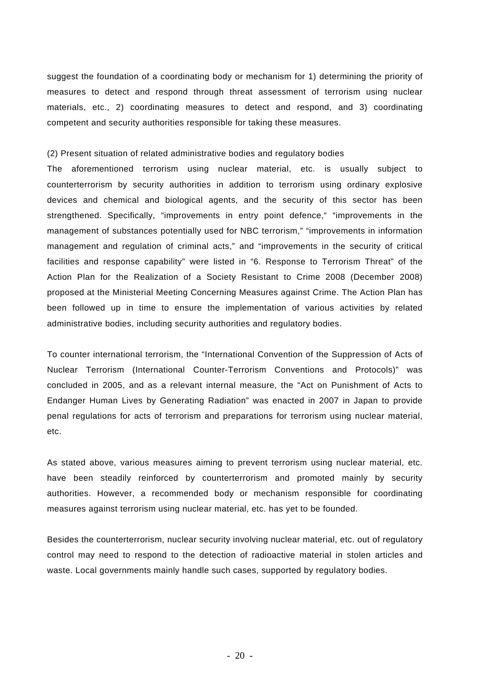suggest the foundation of a coordinating body or mechanism for 1) determining the priority of measures to detect and respond through threat assessment of terrorism using nuclear materials, etc., 2) coordinating measures to detect and respond, and 3) coordinating competent and security authorities responsible for taking these measures.

(2) Present situation of related administrative bodies and regulatory bodies

The aforementioned terrorism using nuclear material, etc. is usually subject to counterterrorism by security authorities in addition to terrorism using ordinary explosive devices and chemical and biological agents, and the security of this sector has been strengthened. Specifically, "improvements in entry point defence," "improvements in the management of substances potentially used for NBC terrorism," "improvements in information management and regulation of criminal acts," and "improvements in the security of critical facilities and response capability" were listed in "6. Response to Terrorism Threat" of the Action Plan for the Realization of a Society Resistant to Crime 2008 (December 2008) proposed at the Ministerial Meeting Concerning Measures against Crime. The Action Plan has been followed up in time to ensure the implementation of various activities by related administrative bodies, including security authorities and regulatory bodies.

To counter international terrorism, the "International Convention of the Suppression of Acts of Nuclear Terrorism (International Counter-Terrorism Conventions and Protocols)" was concluded in 2005, and as a relevant internal measure, the "Act on Punishment of Acts to Endanger Human Lives by Generating Radiation" was enacted in 2007 in Japan to provide penal regulations for acts of terrorism and preparations for terrorism using nuclear material, etc.

As stated above, various measures aiming to prevent terrorism using nuclear material, etc. have been steadily reinforced by counterterrorism and promoted mainly by security authorities. However, a recommended body or mechanism responsible for coordinating measures against terrorism using nuclear material, etc. has yet to be founded.

Besides the counterterrorism, nuclear security involving nuclear material, etc. out of regulatory control may need to respond to the detection of radioactive material in stolen articles and waste. Local governments mainly handle such cases, supported by regulatory bodies.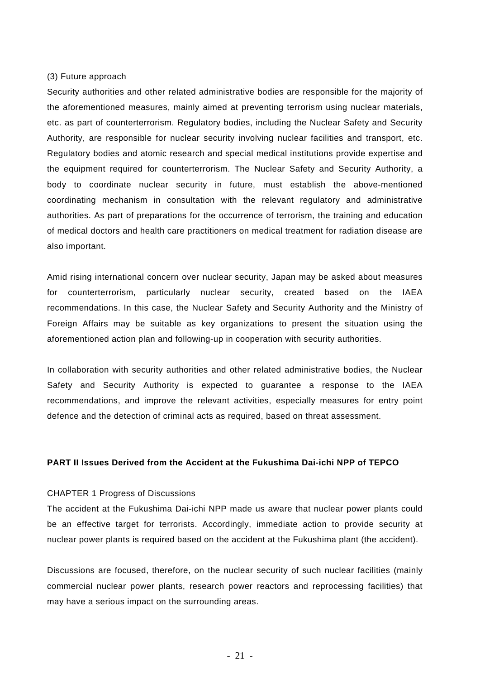### (3) Future approach

Security authorities and other related administrative bodies are responsible for the majority of the aforementioned measures, mainly aimed at preventing terrorism using nuclear materials, etc. as part of counterterrorism. Regulatory bodies, including the Nuclear Safety and Security Authority, are responsible for nuclear security involving nuclear facilities and transport, etc. Regulatory bodies and atomic research and special medical institutions provide expertise and the equipment required for counterterrorism. The Nuclear Safety and Security Authority, a body to coordinate nuclear security in future, must establish the above-mentioned coordinating mechanism in consultation with the relevant regulatory and administrative authorities. As part of preparations for the occurrence of terrorism, the training and education of medical doctors and health care practitioners on medical treatment for radiation disease are also important.

Amid rising international concern over nuclear security, Japan may be asked about measures for counterterrorism, particularly nuclear security, created based on the IAEA recommendations. In this case, the Nuclear Safety and Security Authority and the Ministry of Foreign Affairs may be suitable as key organizations to present the situation using the aforementioned action plan and following-up in cooperation with security authorities.

In collaboration with security authorities and other related administrative bodies, the Nuclear Safety and Security Authority is expected to guarantee a response to the IAEA recommendations, and improve the relevant activities, especially measures for entry point defence and the detection of criminal acts as required, based on threat assessment.

## **PART II Issues Derived from the Accident at the Fukushima Dai-ichi NPP of TEPCO**

### CHAPTER 1 Progress of Discussions

The accident at the Fukushima Dai-ichi NPP made us aware that nuclear power plants could be an effective target for terrorists. Accordingly, immediate action to provide security at nuclear power plants is required based on the accident at the Fukushima plant (the accident).

Discussions are focused, therefore, on the nuclear security of such nuclear facilities (mainly commercial nuclear power plants, research power reactors and reprocessing facilities) that may have a serious impact on the surrounding areas.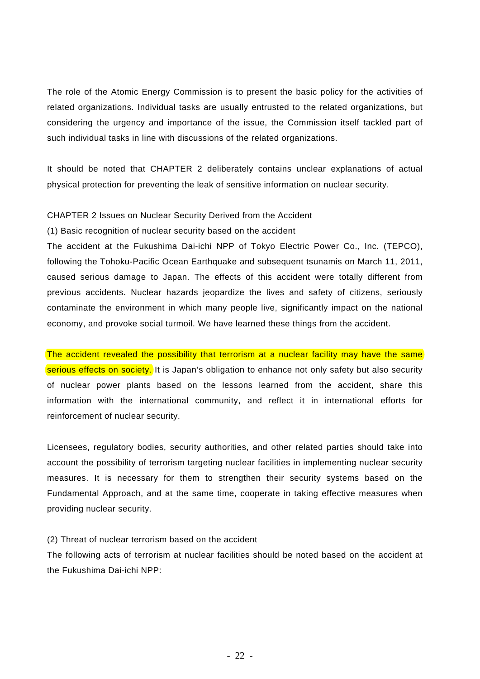The role of the Atomic Energy Commission is to present the basic policy for the activities of related organizations. Individual tasks are usually entrusted to the related organizations, but considering the urgency and importance of the issue, the Commission itself tackled part of such individual tasks in line with discussions of the related organizations.

It should be noted that CHAPTER 2 deliberately contains unclear explanations of actual physical protection for preventing the leak of sensitive information on nuclear security.

## CHAPTER 2 Issues on Nuclear Security Derived from the Accident

(1) Basic recognition of nuclear security based on the accident

The accident at the Fukushima Dai-ichi NPP of Tokyo Electric Power Co., Inc. (TEPCO), following the Tohoku-Pacific Ocean Earthquake and subsequent tsunamis on March 11, 2011, caused serious damage to Japan. The effects of this accident were totally different from previous accidents. Nuclear hazards jeopardize the lives and safety of citizens, seriously contaminate the environment in which many people live, significantly impact on the national economy, and provoke social turmoil. We have learned these things from the accident.

The accident revealed the possibility that terrorism at a nuclear facility may have the same serious effects on society. It is Japan's obligation to enhance not only safety but also security of nuclear power plants based on the lessons learned from the accident, share this information with the international community, and reflect it in international efforts for reinforcement of nuclear security.

Licensees, regulatory bodies, security authorities, and other related parties should take into account the possibility of terrorism targeting nuclear facilities in implementing nuclear security measures. It is necessary for them to strengthen their security systems based on the Fundamental Approach, and at the same time, cooperate in taking effective measures when providing nuclear security.

(2) Threat of nuclear terrorism based on the accident

The following acts of terrorism at nuclear facilities should be noted based on the accident at the Fukushima Dai-ichi NPP: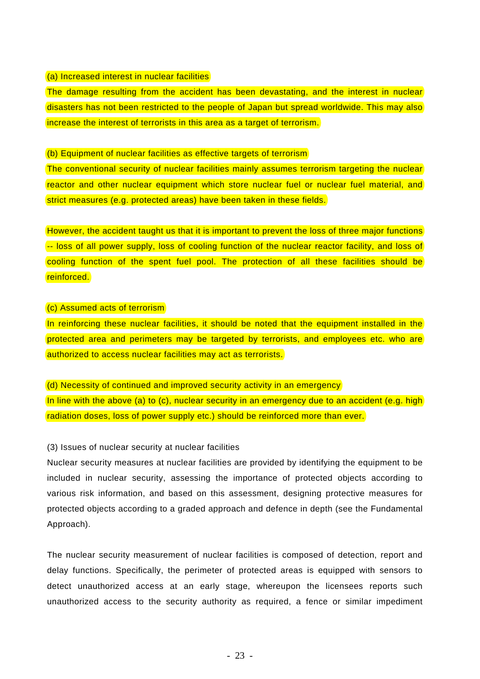### (a) Increased interest in nuclear facilities

The damage resulting from the accident has been devastating, and the interest in nuclear disasters has not been restricted to the people of Japan but spread worldwide. This may also increase the interest of terrorists in this area as a target of terrorism.

(b) Equipment of nuclear facilities as effective targets of terrorism

The conventional security of nuclear facilities mainly assumes terrorism targeting the nuclear reactor and other nuclear equipment which store nuclear fuel or nuclear fuel material, and strict measures (e.g. protected areas) have been taken in these fields.

However, the accident taught us that it is important to prevent the loss of three major functions -- loss of all power supply, loss of cooling function of the nuclear reactor facility, and loss of cooling function of the spent fuel pool. The protection of all these facilities should be reinforced.

### (c) Assumed acts of terrorism

In reinforcing these nuclear facilities, it should be noted that the equipment installed in the protected area and perimeters may be targeted by terrorists, and employees etc. who are authorized to access nuclear facilities may act as terrorists.

## (d) Necessity of continued and improved security activity in an emergency

In line with the above (a) to (c), nuclear security in an emergency due to an accident (e.g. high radiation doses, loss of power supply etc.) should be reinforced more than ever.

## (3) Issues of nuclear security at nuclear facilities

Nuclear security measures at nuclear facilities are provided by identifying the equipment to be included in nuclear security, assessing the importance of protected objects according to various risk information, and based on this assessment, designing protective measures for protected objects according to a graded approach and defence in depth (see the Fundamental Approach).

The nuclear security measurement of nuclear facilities is composed of detection, report and delay functions. Specifically, the perimeter of protected areas is equipped with sensors to detect unauthorized access at an early stage, whereupon the licensees reports such unauthorized access to the security authority as required, a fence or similar impediment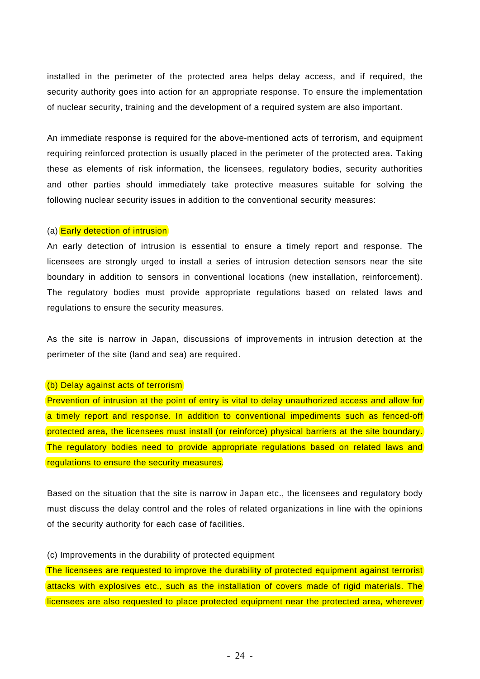installed in the perimeter of the protected area helps delay access, and if required, the security authority goes into action for an appropriate response. To ensure the implementation of nuclear security, training and the development of a required system are also important.

An immediate response is required for the above-mentioned acts of terrorism, and equipment requiring reinforced protection is usually placed in the perimeter of the protected area. Taking these as elements of risk information, the licensees, regulatory bodies, security authorities and other parties should immediately take protective measures suitable for solving the following nuclear security issues in addition to the conventional security measures:

#### (a) **Early detection of intrusion**

An early detection of intrusion is essential to ensure a timely report and response. The licensees are strongly urged to install a series of intrusion detection sensors near the site boundary in addition to sensors in conventional locations (new installation, reinforcement). The regulatory bodies must provide appropriate regulations based on related laws and regulations to ensure the security measures.

As the site is narrow in Japan, discussions of improvements in intrusion detection at the perimeter of the site (land and sea) are required.

### (b) Delay against acts of terrorism

Prevention of intrusion at the point of entry is vital to delay unauthorized access and allow for a timely report and response. In addition to conventional impediments such as fenced-off protected area, the licensees must install (or reinforce) physical barriers at the site boundary. The regulatory bodies need to provide appropriate regulations based on related laws and regulations to ensure the security measures.

Based on the situation that the site is narrow in Japan etc., the licensees and regulatory body must discuss the delay control and the roles of related organizations in line with the opinions of the security authority for each case of facilities.

### (c) Improvements in the durability of protected equipment

The licensees are requested to improve the durability of protected equipment against terrorist attacks with explosives etc., such as the installation of covers made of rigid materials. The licensees are also requested to place protected equipment near the protected area, wherever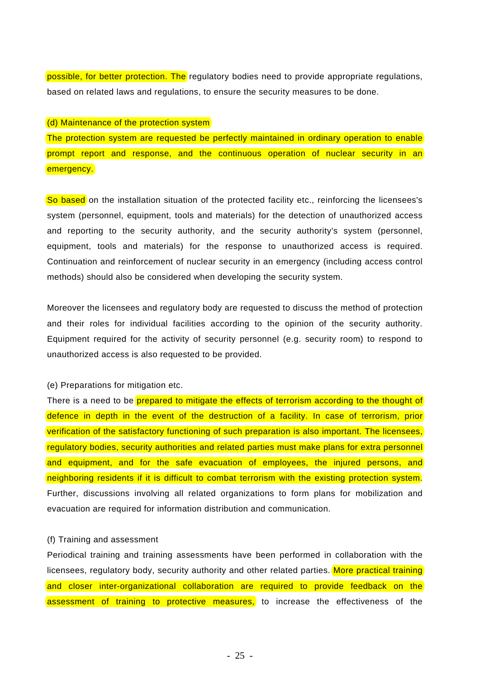possible, for better protection. The regulatory bodies need to provide appropriate regulations, based on related laws and regulations, to ensure the security measures to be done.

## (d) Maintenance of the protection system

The protection system are requested be perfectly maintained in ordinary operation to enable prompt report and response, and the continuous operation of nuclear security in an emergency.

So based on the installation situation of the protected facility etc., reinforcing the licensees's system (personnel, equipment, tools and materials) for the detection of unauthorized access and reporting to the security authority, and the security authority's system (personnel, equipment, tools and materials) for the response to unauthorized access is required. Continuation and reinforcement of nuclear security in an emergency (including access control methods) should also be considered when developing the security system.

Moreover the licensees and regulatory body are requested to discuss the method of protection and their roles for individual facilities according to the opinion of the security authority. Equipment required for the activity of security personnel (e.g. security room) to respond to unauthorized access is also requested to be provided.

(e) Preparations for mitigation etc.

There is a need to be prepared to mitigate the effects of terrorism according to the thought of defence in depth in the event of the destruction of a facility. In case of terrorism, prior verification of the satisfactory functioning of such preparation is also important. The licensees, regulatory bodies, security authorities and related parties must make plans for extra personnel and equipment, and for the safe evacuation of employees, the injured persons, and neighboring residents if it is difficult to combat terrorism with the existing protection system. Further, discussions involving all related organizations to form plans for mobilization and evacuation are required for information distribution and communication.

## (f) Training and assessment

Periodical training and training assessments have been performed in collaboration with the licensees, regulatory body, security authority and other related parties. More practical training and closer inter-organizational collaboration are required to provide feedback on the assessment of training to protective measures, to increase the effectiveness of the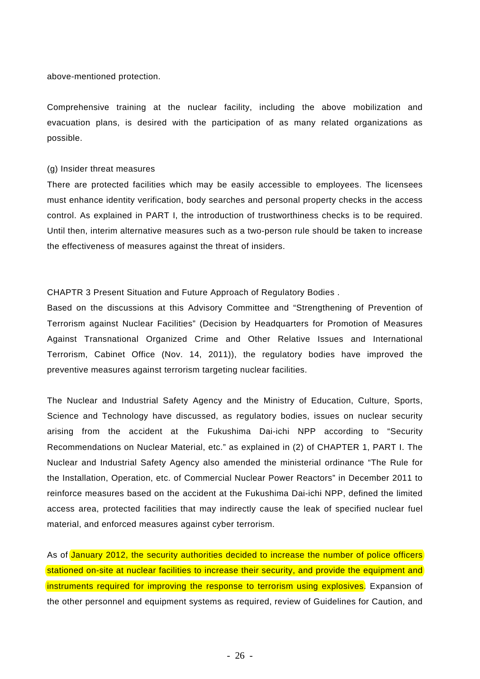above-mentioned protection.

Comprehensive training at the nuclear facility, including the above mobilization and evacuation plans, is desired with the participation of as many related organizations as possible.

#### (g) Insider threat measures

There are protected facilities which may be easily accessible to employees. The licensees must enhance identity verification, body searches and personal property checks in the access control. As explained in PART I, the introduction of trustworthiness checks is to be required. Until then, interim alternative measures such as a two-person rule should be taken to increase the effectiveness of measures against the threat of insiders.

CHAPTR 3 Present Situation and Future Approach of Regulatory Bodies .

Based on the discussions at this Advisory Committee and "Strengthening of Prevention of Terrorism against Nuclear Facilities" (Decision by Headquarters for Promotion of Measures Against Transnational Organized Crime and Other Relative Issues and International Terrorism, Cabinet Office (Nov. 14, 2011)), the regulatory bodies have improved the preventive measures against terrorism targeting nuclear facilities.

The Nuclear and Industrial Safety Agency and the Ministry of Education, Culture, Sports, Science and Technology have discussed, as regulatory bodies, issues on nuclear security arising from the accident at the Fukushima Dai-ichi NPP according to "Security Recommendations on Nuclear Material, etc." as explained in (2) of CHAPTER 1, PART I. The Nuclear and Industrial Safety Agency also amended the ministerial ordinance "The Rule for the Installation, Operation, etc. of Commercial Nuclear Power Reactors" in December 2011 to reinforce measures based on the accident at the Fukushima Dai-ichi NPP, defined the limited access area, protected facilities that may indirectly cause the leak of specified nuclear fuel material, and enforced measures against cyber terrorism.

As of January 2012, the security authorities decided to increase the number of police officers stationed on-site at nuclear facilities to increase their security, and provide the equipment and instruments required for improving the response to terrorism using explosives. Expansion of the other personnel and equipment systems as required, review of Guidelines for Caution, and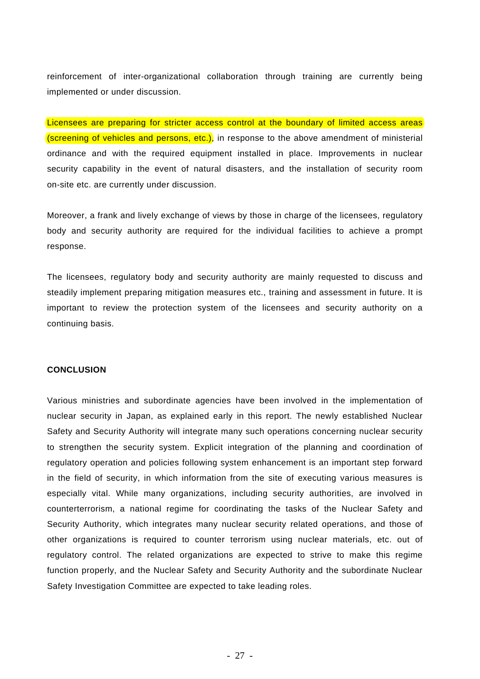reinforcement of inter-organizational collaboration through training are currently being implemented or under discussion.

Licensees are preparing for stricter access control at the boundary of limited access areas (screening of vehicles and persons, etc.), in response to the above amendment of ministerial ordinance and with the required equipment installed in place. Improvements in nuclear security capability in the event of natural disasters, and the installation of security room on-site etc. are currently under discussion.

Moreover, a frank and lively exchange of views by those in charge of the licensees, regulatory body and security authority are required for the individual facilities to achieve a prompt response.

The licensees, regulatory body and security authority are mainly requested to discuss and steadily implement preparing mitigation measures etc., training and assessment in future. It is important to review the protection system of the licensees and security authority on a continuing basis.

## **CONCLUSION**

Various ministries and subordinate agencies have been involved in the implementation of nuclear security in Japan, as explained early in this report. The newly established Nuclear Safety and Security Authority will integrate many such operations concerning nuclear security to strengthen the security system. Explicit integration of the planning and coordination of regulatory operation and policies following system enhancement is an important step forward in the field of security, in which information from the site of executing various measures is especially vital. While many organizations, including security authorities, are involved in counterterrorism, a national regime for coordinating the tasks of the Nuclear Safety and Security Authority, which integrates many nuclear security related operations, and those of other organizations is required to counter terrorism using nuclear materials, etc. out of regulatory control. The related organizations are expected to strive to make this regime function properly, and the Nuclear Safety and Security Authority and the subordinate Nuclear Safety Investigation Committee are expected to take leading roles.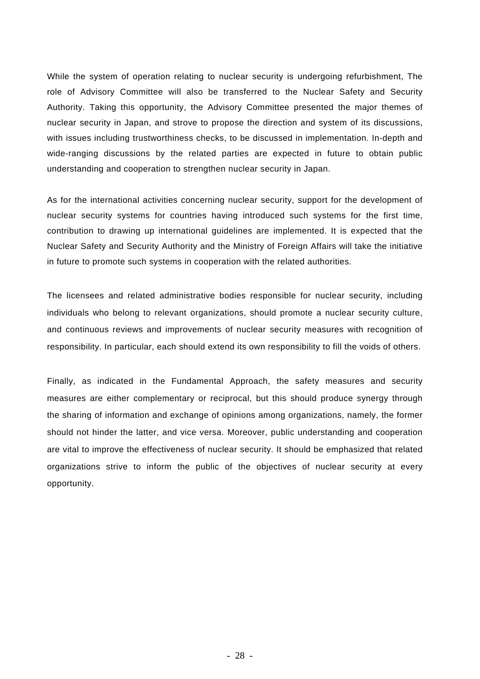While the system of operation relating to nuclear security is undergoing refurbishment, The role of Advisory Committee will also be transferred to the Nuclear Safety and Security Authority. Taking this opportunity, the Advisory Committee presented the major themes of nuclear security in Japan, and strove to propose the direction and system of its discussions, with issues including trustworthiness checks, to be discussed in implementation. In-depth and wide-ranging discussions by the related parties are expected in future to obtain public understanding and cooperation to strengthen nuclear security in Japan.

As for the international activities concerning nuclear security, support for the development of nuclear security systems for countries having introduced such systems for the first time, contribution to drawing up international guidelines are implemented. It is expected that the Nuclear Safety and Security Authority and the Ministry of Foreign Affairs will take the initiative in future to promote such systems in cooperation with the related authorities.

The licensees and related administrative bodies responsible for nuclear security, including individuals who belong to relevant organizations, should promote a nuclear security culture, and continuous reviews and improvements of nuclear security measures with recognition of responsibility. In particular, each should extend its own responsibility to fill the voids of others.

Finally, as indicated in the Fundamental Approach, the safety measures and security measures are either complementary or reciprocal, but this should produce synergy through the sharing of information and exchange of opinions among organizations, namely, the former should not hinder the latter, and vice versa. Moreover, public understanding and cooperation are vital to improve the effectiveness of nuclear security. It should be emphasized that related organizations strive to inform the public of the objectives of nuclear security at every opportunity.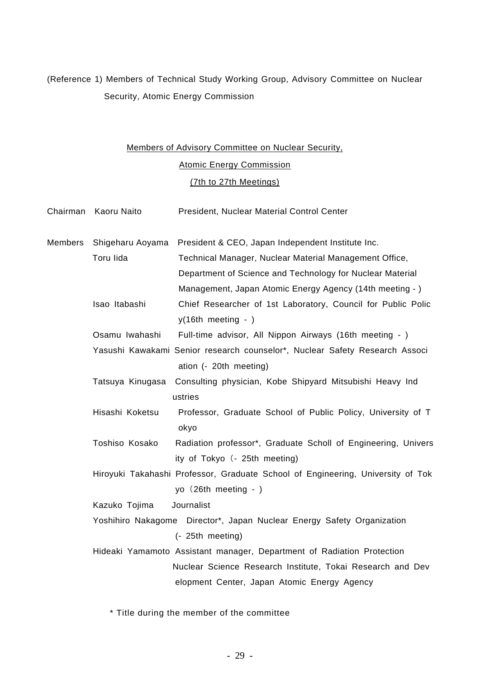## (Reference 1) Members of Technical Study Working Group, Advisory Committee on Nuclear Security, Atomic Energy Commission

# Members of Advisory Committee on Nuclear Security, Atomic Energy Commission (7th to 27th Meetings)

|         | Chairman Kaoru Naito | President, Nuclear Material Control Center                                      |
|---------|----------------------|---------------------------------------------------------------------------------|
| Members | Shigeharu Aoyama     | President & CEO, Japan Independent Institute Inc.                               |
|         | Toru lida            | Technical Manager, Nuclear Material Management Office,                          |
|         |                      | Department of Science and Technology for Nuclear Material                       |
|         |                      | Management, Japan Atomic Energy Agency (14th meeting - )                        |
|         | Isao Itabashi        | Chief Researcher of 1st Laboratory, Council for Public Polic                    |
|         |                      | $y(16th$ meeting - )                                                            |
|         | Osamu Iwahashi       | Full-time advisor, All Nippon Airways (16th meeting - )                         |
|         |                      | Yasushi Kawakami Senior research counselor*, Nuclear Safety Research Associ     |
|         |                      | ation (- 20th meeting)                                                          |
|         | Tatsuya Kinugasa     | Consulting physician, Kobe Shipyard Mitsubishi Heavy Ind                        |
|         |                      | ustries                                                                         |
|         | Hisashi Koketsu      | Professor, Graduate School of Public Policy, University of T                    |
|         |                      | okyo                                                                            |
|         | Toshiso Kosako       | Radiation professor*, Graduate Scholl of Engineering, Univers                   |
|         |                      | ity of Tokyo (- 25th meeting)                                                   |
|         |                      | Hiroyuki Takahashi Professor, Graduate School of Engineering, University of Tok |
|         |                      | yo (26th meeting - )                                                            |
|         | Kazuko Tojima        | Journalist                                                                      |
|         |                      | Yoshihiro Nakagome Director*, Japan Nuclear Energy Safety Organization          |
|         |                      | (- 25th meeting)                                                                |
|         |                      | Hideaki Yamamoto Assistant manager, Department of Radiation Protection          |
|         |                      | Nuclear Science Research Institute, Tokai Research and Dev                      |
|         |                      | elopment Center, Japan Atomic Energy Agency                                     |
|         |                      |                                                                                 |

\* Title during the member of the committee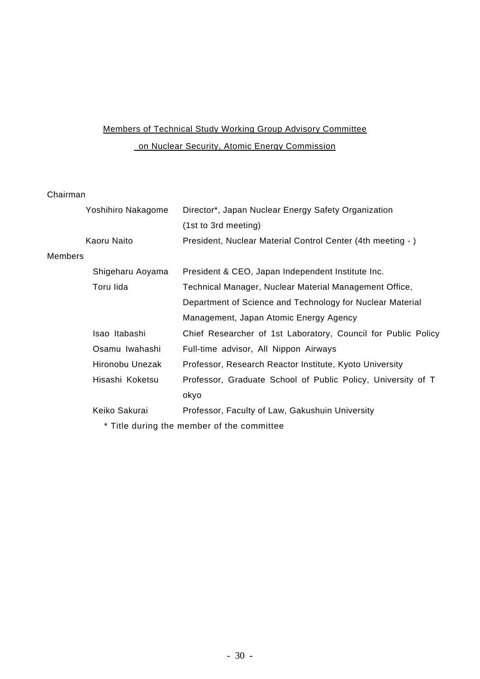# Members of Technical Study Working Group Advisory Committee on Nuclear Security, Atomic Energy Commission

## Chairman

|                | Yoshihiro Nakagome | Director*, Japan Nuclear Energy Safety Organization           |
|----------------|--------------------|---------------------------------------------------------------|
|                |                    | (1st to 3rd meeting)                                          |
|                | Kaoru Naito        | President, Nuclear Material Control Center (4th meeting - )   |
| <b>Members</b> |                    |                                                               |
|                | Shigeharu Aoyama   | President & CEO, Japan Independent Institute Inc.             |
|                | Toru lida          | Technical Manager, Nuclear Material Management Office,        |
|                |                    | Department of Science and Technology for Nuclear Material     |
|                |                    | Management, Japan Atomic Energy Agency                        |
|                | Isao Itabashi      | Chief Researcher of 1st Laboratory, Council for Public Policy |
|                | Osamu Iwahashi     | Full-time advisor, All Nippon Airways                         |
|                | Hironobu Unezak    | Professor, Research Reactor Institute, Kyoto University       |
|                | Hisashi Koketsu    | Professor, Graduate School of Public Policy, University of T  |
|                |                    | okyo                                                          |
|                | Keiko Sakurai      | Professor, Faculty of Law, Gakushuin University               |
|                |                    | * Title during the member of the committee                    |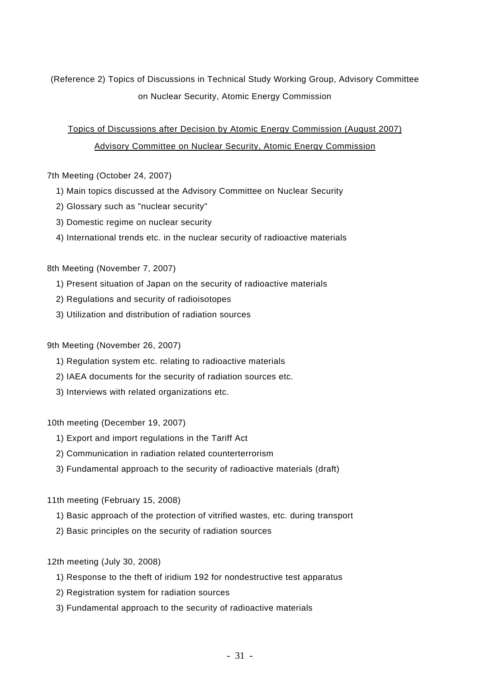## (Reference 2) Topics of Discussions in Technical Study Working Group, Advisory Committee on Nuclear Security, Atomic Energy Commission

## Topics of Discussions after Decision by Atomic Energy Commission (August 2007) Advisory Committee on Nuclear Security, Atomic Energy Commission

## 7th Meeting (October 24, 2007)

- 1) Main topics discussed at the Advisory Committee on Nuclear Security
- 2) Glossary such as "nuclear security"
- 3) Domestic regime on nuclear security
- 4) International trends etc. in the nuclear security of radioactive materials

## 8th Meeting (November 7, 2007)

- 1) Present situation of Japan on the security of radioactive materials
- 2) Regulations and security of radioisotopes
- 3) Utilization and distribution of radiation sources

## 9th Meeting (November 26, 2007)

- 1) Regulation system etc. relating to radioactive materials
- 2) IAEA documents for the security of radiation sources etc.
- 3) Interviews with related organizations etc.

## 10th meeting (December 19, 2007)

- 1) Export and import regulations in the Tariff Act
- 2) Communication in radiation related counterterrorism
- 3) Fundamental approach to the security of radioactive materials (draft)

## 11th meeting (February 15, 2008)

- 1) Basic approach of the protection of vitrified wastes, etc. during transport
- 2) Basic principles on the security of radiation sources
- 12th meeting (July 30, 2008)
	- 1) Response to the theft of iridium 192 for nondestructive test apparatus
	- 2) Registration system for radiation sources
	- 3) Fundamental approach to the security of radioactive materials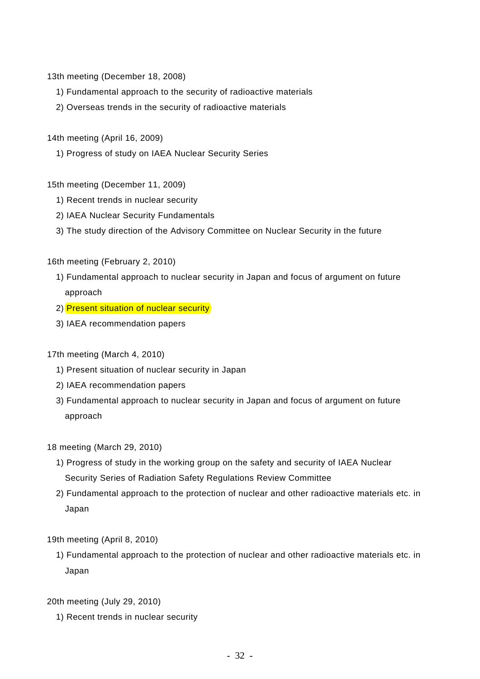13th meeting (December 18, 2008)

- 1) Fundamental approach to the security of radioactive materials
- 2) Overseas trends in the security of radioactive materials
- 14th meeting (April 16, 2009)
	- 1) Progress of study on IAEA Nuclear Security Series
- 15th meeting (December 11, 2009)
	- 1) Recent trends in nuclear security
	- 2) IAEA Nuclear Security Fundamentals
	- 3) The study direction of the Advisory Committee on Nuclear Security in the future
- 16th meeting (February 2, 2010)
	- 1) Fundamental approach to nuclear security in Japan and focus of argument on future approach
	- 2) Present situation of nuclear security
	- 3) IAEA recommendation papers
- 17th meeting (March 4, 2010)
	- 1) Present situation of nuclear security in Japan
	- 2) IAEA recommendation papers
	- 3) Fundamental approach to nuclear security in Japan and focus of argument on future approach

## 18 meeting (March 29, 2010)

- 1) Progress of study in the working group on the safety and security of IAEA Nuclear Security Series of Radiation Safety Regulations Review Committee
- 2) Fundamental approach to the protection of nuclear and other radioactive materials etc. in Japan
- 19th meeting (April 8, 2010)
	- 1) Fundamental approach to the protection of nuclear and other radioactive materials etc. in Japan
- 20th meeting (July 29, 2010)
	- 1) Recent trends in nuclear security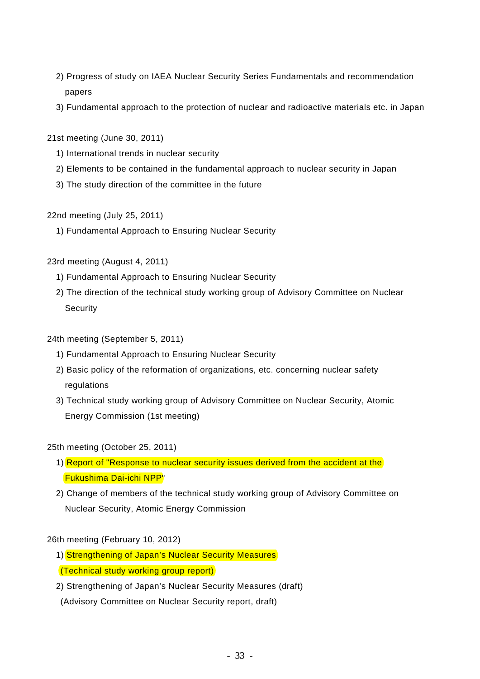- 2) Progress of study on IAEA Nuclear Security Series Fundamentals and recommendation papers
- 3) Fundamental approach to the protection of nuclear and radioactive materials etc. in Japan
- 21st meeting (June 30, 2011)
	- 1) International trends in nuclear security
	- 2) Elements to be contained in the fundamental approach to nuclear security in Japan
	- 3) The study direction of the committee in the future

22nd meeting (July 25, 2011)

1) Fundamental Approach to Ensuring Nuclear Security

## 23rd meeting (August 4, 2011)

- 1) Fundamental Approach to Ensuring Nuclear Security
- 2) The direction of the technical study working group of Advisory Committee on Nuclear **Security**

## 24th meeting (September 5, 2011)

- 1) Fundamental Approach to Ensuring Nuclear Security
- 2) Basic policy of the reformation of organizations, etc. concerning nuclear safety regulations
- 3) Technical study working group of Advisory Committee on Nuclear Security, Atomic Energy Commission (1st meeting)

## 25th meeting (October 25, 2011)

- 1) Report of "Response to nuclear security issues derived from the accident at the Fukushima Dai-ichi NPP"
- 2) Change of members of the technical study working group of Advisory Committee on Nuclear Security, Atomic Energy Commission

## 26th meeting (February 10, 2012)

- 1) Strengthening of Japan's Nuclear Security Measures
- (Technical study working group report)
- 2) Strengthening of Japan's Nuclear Security Measures (draft)

(Advisory Committee on Nuclear Security report, draft)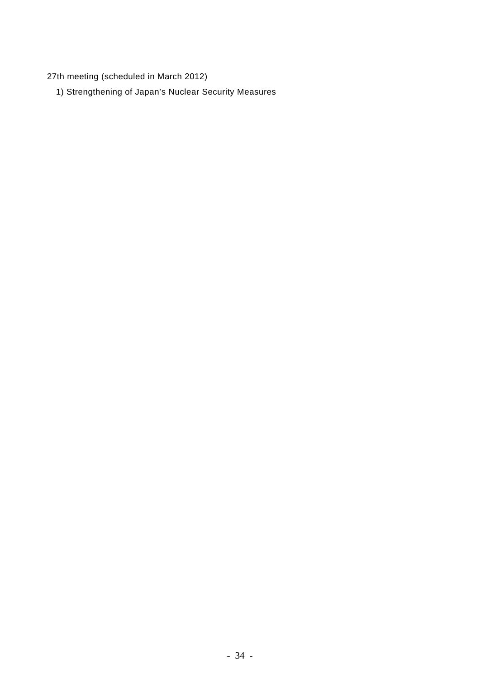27th meeting (scheduled in March 2012)

1) Strengthening of Japan's Nuclear Security Measures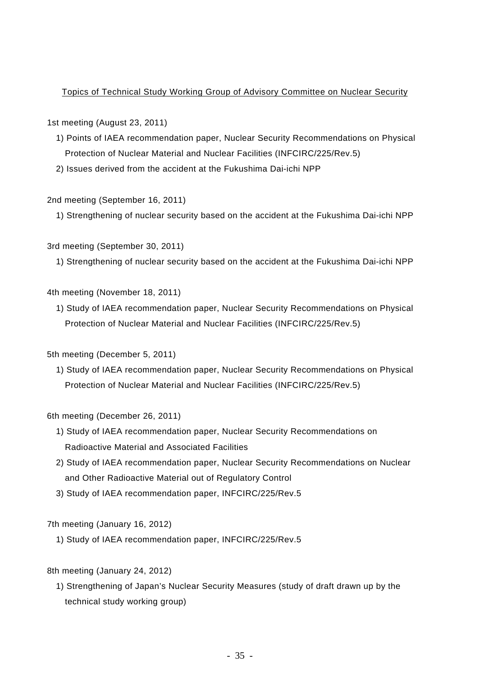## Topics of Technical Study Working Group of Advisory Committee on Nuclear Security

## 1st meeting (August 23, 2011)

- 1) Points of IAEA recommendation paper, Nuclear Security Recommendations on Physical Protection of Nuclear Material and Nuclear Facilities (INFCIRC/225/Rev.5)
- 2) Issues derived from the accident at the Fukushima Dai-ichi NPP

## 2nd meeting (September 16, 2011)

1) Strengthening of nuclear security based on the accident at the Fukushima Dai-ichi NPP

## 3rd meeting (September 30, 2011)

1) Strengthening of nuclear security based on the accident at the Fukushima Dai-ichi NPP

## 4th meeting (November 18, 2011)

1) Study of IAEA recommendation paper, Nuclear Security Recommendations on Physical Protection of Nuclear Material and Nuclear Facilities (INFCIRC/225/Rev.5)

## 5th meeting (December 5, 2011)

1) Study of IAEA recommendation paper, Nuclear Security Recommendations on Physical Protection of Nuclear Material and Nuclear Facilities (INFCIRC/225/Rev.5)

## 6th meeting (December 26, 2011)

- 1) Study of IAEA recommendation paper, Nuclear Security Recommendations on Radioactive Material and Associated Facilities
- 2) Study of IAEA recommendation paper, Nuclear Security Recommendations on Nuclear and Other Radioactive Material out of Regulatory Control
- 3) Study of IAEA recommendation paper, INFCIRC/225/Rev.5

## 7th meeting (January 16, 2012)

1) Study of IAEA recommendation paper, INFCIRC/225/Rev.5

## 8th meeting (January 24, 2012)

1) Strengthening of Japan's Nuclear Security Measures (study of draft drawn up by the technical study working group)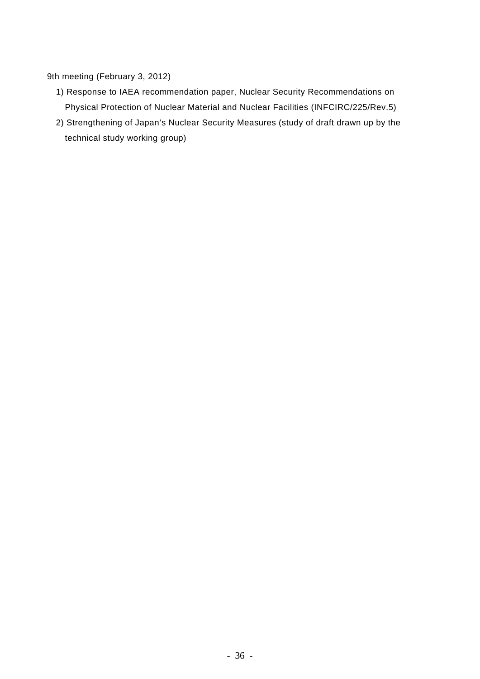## 9th meeting (February 3, 2012)

- 1) Response to IAEA recommendation paper, Nuclear Security Recommendations on Physical Protection of Nuclear Material and Nuclear Facilities (INFCIRC/225/Rev.5)
- 2) Strengthening of Japan's Nuclear Security Measures (study of draft drawn up by the technical study working group)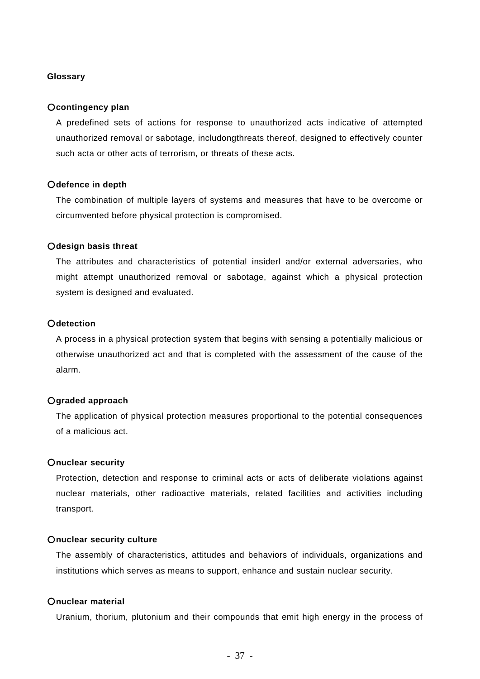### **Glossary**

### ○**contingency plan**

A predefined sets of actions for response to unauthorized acts indicative of attempted unauthorized removal or sabotage, includongthreats thereof, designed to effectively counter such acta or other acts of terrorism, or threats of these acts.

### ○**defence in depth**

The combination of multiple layers of systems and measures that have to be overcome or circumvented before physical protection is compromised.

### ○**design basis threat**

The attributes and characteristics of potential insiderl and/or external adversaries, who might attempt unauthorized removal or sabotage, against which a physical protection system is designed and evaluated.

## ○**detection**

A process in a physical protection system that begins with sensing a potentially malicious or otherwise unauthorized act and that is completed with the assessment of the cause of the alarm.

## ○**graded approach**

The application of physical protection measures proportional to the potential consequences of a malicious act.

## ○**nuclear security**

Protection, detection and response to criminal acts or acts of deliberate violations against nuclear materials, other radioactive materials, related facilities and activities including transport.

### ○**nuclear security culture**

The assembly of characteristics, attitudes and behaviors of individuals, organizations and institutions which serves as means to support, enhance and sustain nuclear security.

## ○**nuclear material**

Uranium, thorium, plutonium and their compounds that emit high energy in the process of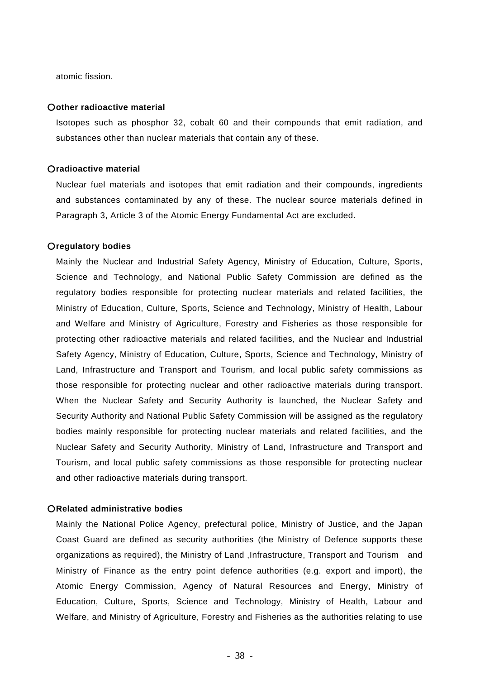atomic fission.

#### ○**other radioactive material**

Isotopes such as phosphor 32, cobalt 60 and their compounds that emit radiation, and substances other than nuclear materials that contain any of these.

### ○**radioactive material**

Nuclear fuel materials and isotopes that emit radiation and their compounds, ingredients and substances contaminated by any of these. The nuclear source materials defined in Paragraph 3, Article 3 of the Atomic Energy Fundamental Act are excluded.

### ○**regulatory bodies**

Mainly the Nuclear and Industrial Safety Agency, Ministry of Education, Culture, Sports, Science and Technology, and National Public Safety Commission are defined as the regulatory bodies responsible for protecting nuclear materials and related facilities, the Ministry of Education, Culture, Sports, Science and Technology, Ministry of Health, Labour and Welfare and Ministry of Agriculture, Forestry and Fisheries as those responsible for protecting other radioactive materials and related facilities, and the Nuclear and Industrial Safety Agency, Ministry of Education, Culture, Sports, Science and Technology, Ministry of Land, Infrastructure and Transport and Tourism, and local public safety commissions as those responsible for protecting nuclear and other radioactive materials during transport. When the Nuclear Safety and Security Authority is launched, the Nuclear Safety and Security Authority and National Public Safety Commission will be assigned as the regulatory bodies mainly responsible for protecting nuclear materials and related facilities, and the Nuclear Safety and Security Authority, Ministry of Land, Infrastructure and Transport and Tourism, and local public safety commissions as those responsible for protecting nuclear and other radioactive materials during transport.

## ○**Related administrative bodies**

Mainly the National Police Agency, prefectural police, Ministry of Justice, and the Japan Coast Guard are defined as security authorities (the Ministry of Defence supports these organizations as required), the Ministry of Land ,Infrastructure, Transport and Tourism and Ministry of Finance as the entry point defence authorities (e.g. export and import), the Atomic Energy Commission, Agency of Natural Resources and Energy, Ministry of Education, Culture, Sports, Science and Technology, Ministry of Health, Labour and Welfare, and Ministry of Agriculture, Forestry and Fisheries as the authorities relating to use